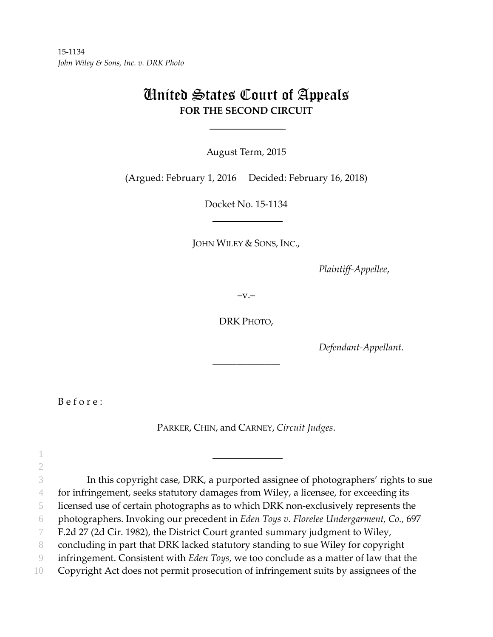# United States Court of Appeals **FOR THE SECOND CIRCUIT**

August Term, 2015

 $\mathcal{L}_\text{max}$ 

(Argued: February 1, 2016 Decided: February 16, 2018)

Docket No. 15‐1134  $\overline{\phantom{a}}$  , where  $\overline{\phantom{a}}$ 

JOHN WILEY & SONS, INC.,

*Plaintiff‐Appellee*,

 $-v.$ 

DRK PHOTO,

 $\overline{\phantom{a}}$  , where  $\overline{\phantom{a}}$ 

*Defendant‐Appellant.*

B e f o r e :

2

PARKER, CHIN, and CARNEY, *Circuit Judges*.

3 In this copyright case, DRK, a purported assignee of photographers' rights to sue

4 for infringement, seeks statutory damages from Wiley, a licensee, for exceeding its

5 licensed use of certain photographs as to which DRK non‐exclusively represents the

6 photographers. Invoking our precedent in *Eden Toys v. Florelee Undergarment, Co.*, 697

7 F.2d 27 (2d Cir. 1982), the District Court granted summary judgment to Wiley,

 $1$ 

8 concluding in part that DRK lacked statutory standing to sue Wiley for copyright

9 infringement. Consistent with *Eden Toys*, we too conclude as a matter of law that the

10 Copyright Act does not permit prosecution of infringement suits by assignees of the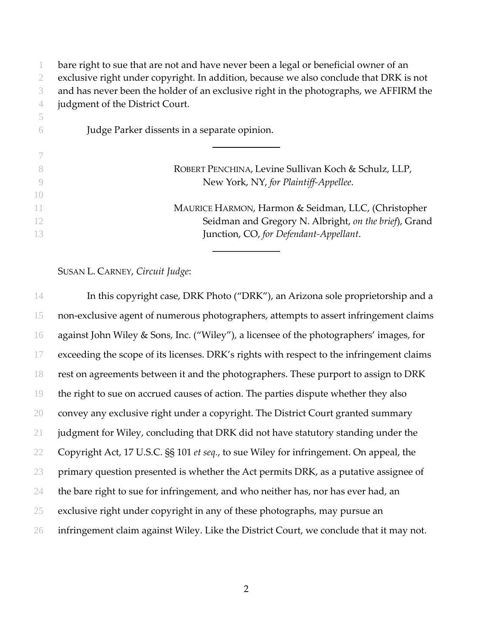bare right to sue that are not and have never been a legal or beneficial owner of an exclusive right under copyright. In addition, because we also conclude that DRK is not and has never been the holder of an exclusive right in the photographs, we AFFIRM the judgment of the District Court. Judge Parker dissents in a separate opinion.  $\overline{\phantom{a}}$ 

|     | ROBERT PENCHINA, Levine Sullivan Koch & Schulz, LLP,  |
|-----|-------------------------------------------------------|
|     | New York, NY, for Plaintiff-Appellee.                 |
| (1) |                                                       |
| -11 | MAURICE HARMON, Harmon & Seidman, LLC, (Christopher   |
| -12 | Seidman and Gregory N. Albright, on the brief), Grand |
| 13  | Junction, CO, for Defendant-Appellant.                |
|     |                                                       |

## SUSAN L. CARNEY, *Circuit Judge*:

In this copyright case, DRK Photo ("DRK"), an Arizona sole proprietorship and a non‐exclusive agent of numerous photographers, attempts to assert infringement claims against John Wiley & Sons, Inc. ("Wiley"), a licensee of the photographers' images, for exceeding the scope of its licenses. DRK's rights with respect to the infringement claims rest on agreements between it and the photographers. These purport to assign to DRK the right to sue on accrued causes of action. The parties dispute whether they also convey any exclusive right under a copyright. The District Court granted summary judgment for Wiley, concluding that DRK did not have statutory standing under the Copyright Act, 17 U.S.C. §§ 101 *et seq.*, to sue Wiley for infringement. On appeal, the 23 primary question presented is whether the Act permits DRK, as a putative assignee of 24 the bare right to sue for infringement, and who neither has, nor has ever had, an exclusive right under copyright in any of these photographs, may pursue an infringement claim against Wiley. Like the District Court, we conclude that it may not.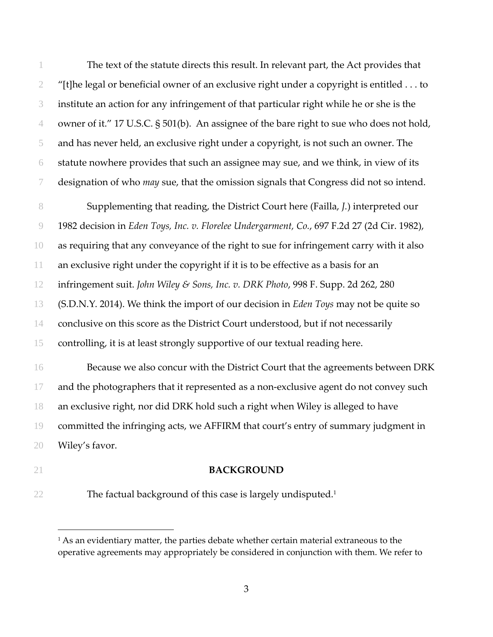The text of the statute directs this result. In relevant part, the Act provides that "[t]he legal or beneficial owner of an exclusive right under a copyright is entitled ... to institute an action for any infringement of that particular right while he or she is the owner of it." 17 U.S.C. § 501(b). An assignee of the bare right to sue who does not hold, and has never held, an exclusive right under a copyright, is not such an owner. The statute nowhere provides that such an assignee may sue, and we think, in view of its designation of who *may* sue, that the omission signals that Congress did not so intend.

Supplementing that reading, the District Court here (Failla, *J.*) interpreted our 1982 decision in *Eden Toys, Inc. v. Florelee Undergarment, Co.*, 697 F.2d 27 (2d Cir. 1982), as requiring that any conveyance of the right to sue for infringement carry with it also an exclusive right under the copyright if it is to be effective as a basis for an infringement suit. *John Wiley & Sons, Inc. v. DRK Photo*, 998 F. Supp. 2d 262, 280 (S.D.N.Y. 2014). We think the import of our decision in *Eden Toys* may not be quite so conclusive on this score as the District Court understood, but if not necessarily controlling, it is at least strongly supportive of our textual reading here.

Because we also concur with the District Court that the agreements between DRK 17 and the photographers that it represented as a non-exclusive agent do not convey such an exclusive right, nor did DRK hold such a right when Wiley is alleged to have committed the infringing acts, we AFFIRM that court's entry of summary judgment in Wiley's favor.

#### **BACKGROUND**

 $\overline{a}$ 

22 The factual background of this case is largely undisputed.<sup>1</sup>

<sup>&</sup>lt;sup>1</sup> As an evidentiary matter, the parties debate whether certain material extraneous to the operative agreements may appropriately be considered in conjunction with them. We refer to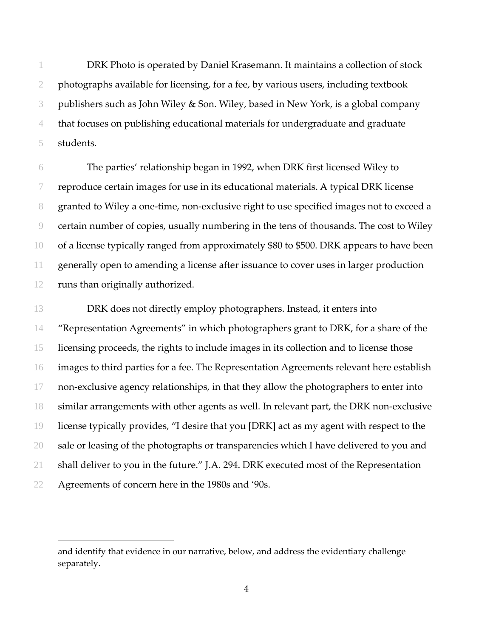DRK Photo is operated by Daniel Krasemann. It maintains a collection of stock photographs available for licensing, for a fee, by various users, including textbook publishers such as John Wiley & Son. Wiley, based in New York, is a global company that focuses on publishing educational materials for undergraduate and graduate students.

The parties' relationship began in 1992, when DRK first licensed Wiley to reproduce certain images for use in its educational materials. A typical DRK license 8 granted to Wiley a one-time, non-exclusive right to use specified images not to exceed a certain number of copies, usually numbering in the tens of thousands. The cost to Wiley of a license typically ranged from approximately \$80 to \$500. DRK appears to have been generally open to amending a license after issuance to cover uses in larger production runs than originally authorized.

13 DRK does not directly employ photographers. Instead, it enters into "Representation Agreements" in which photographers grant to DRK, for a share of the licensing proceeds, the rights to include images in its collection and to license those images to third parties for a fee. The Representation Agreements relevant here establish 17 non-exclusive agency relationships, in that they allow the photographers to enter into 18 similar arrangements with other agents as well. In relevant part, the DRK non-exclusive license typically provides, "I desire that you [DRK] act as my agent with respect to the 20 sale or leasing of the photographs or transparencies which I have delivered to you and shall deliver to you in the future." J.A. 294. DRK executed most of the Representation Agreements of concern here in the 1980s and '90s.

 $\overline{a}$ 

and identify that evidence in our narrative, below, and address the evidentiary challenge separately.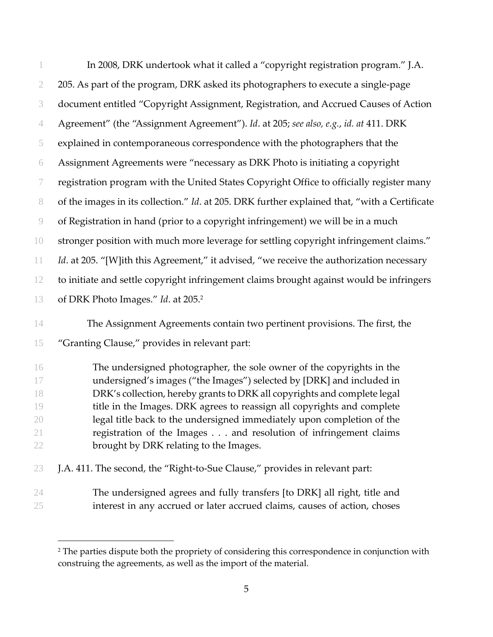|                | In 2008, DRK undertook what it called a "copyright registration program." J.A.                |
|----------------|-----------------------------------------------------------------------------------------------|
| $\mathfrak{2}$ | 205. As part of the program, DRK asked its photographers to execute a single-page             |
| 3              | document entitled "Copyright Assignment, Registration, and Accrued Causes of Action           |
| 4              | Agreement" (the "Assignment Agreement"). Id. at 205; see also, e.g., id. at 411. DRK          |
| 5              | explained in contemporaneous correspondence with the photographers that the                   |
| 6              | Assignment Agreements were "necessary as DRK Photo is initiating a copyright                  |
| 7              | registration program with the United States Copyright Office to officially register many      |
| $8\,$          | of the images in its collection." Id. at 205. DRK further explained that, "with a Certificate |
| $\circledcirc$ | of Registration in hand (prior to a copyright infringement) we will be in a much              |
| 10             | stronger position with much more leverage for settling copyright infringement claims."        |
| 11             | Id. at 205. "[W]ith this Agreement," it advised, "we receive the authorization necessary      |
| 12             | to initiate and settle copyright infringement claims brought against would be infringers      |
| 13             | of DRK Photo Images." Id. at 205. <sup>2</sup>                                                |
| 14             | The Assignment Agreements contain two pertinent provisions. The first, the                    |
| 15             | "Granting Clause," provides in relevant part:                                                 |
| 16             | The undersigned photographer, the sole owner of the copyrights in the                         |
| 17             | undersigned's images ("the Images") selected by [DRK] and included in                         |
| 18             | DRK's collection, hereby grants to DRK all copyrights and complete legal                      |
| 19             | title in the Images. DRK agrees to reassign all copyrights and complete                       |
| 20             | legal title back to the undersigned immediately upon completion of the                        |
| 21             | registration of the Images and resolution of infringement claims                              |
| 22             | brought by DRK relating to the Images.                                                        |
| 23             | J.A. 411. The second, the "Right-to-Sue Clause," provides in relevant part:                   |
| 24             | The undersigned agrees and fully transfers [to DRK] all right, title and                      |
| 25             | interest in any accrued or later accrued claims, causes of action, choses                     |

 $\overline{a}$ 

<sup>&</sup>lt;sup>2</sup> The parties dispute both the propriety of considering this correspondence in conjunction with construing the agreements, as well as the import of the material.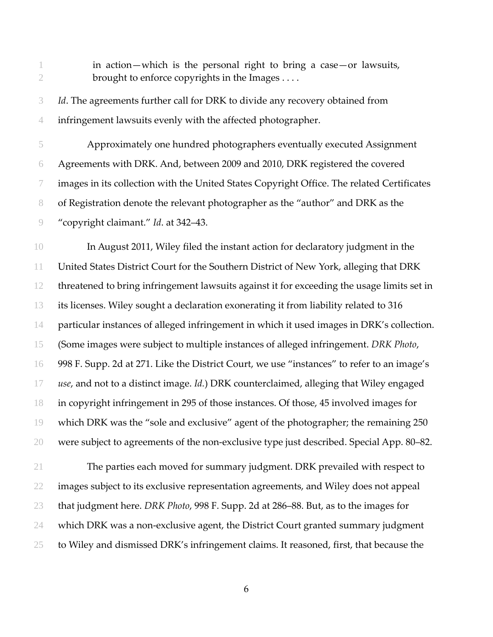in action—which is the personal right to bring a case—or lawsuits, 2 brought to enforce copyrights in the Images ....

*Id*. The agreements further call for DRK to divide any recovery obtained from infringement lawsuits evenly with the affected photographer.

Approximately one hundred photographers eventually executed Assignment Agreements with DRK. And, between 2009 and 2010, DRK registered the covered images in its collection with the United States Copyright Office. The related Certificates of Registration denote the relevant photographer as the "author" and DRK as the "copyright claimant." *Id*. at 342–43.

In August 2011, Wiley filed the instant action for declaratory judgment in the United States District Court for the Southern District of New York, alleging that DRK threatened to bring infringement lawsuits against it for exceeding the usage limits set in its licenses. Wiley sought a declaration exonerating it from liability related to 316 particular instances of alleged infringement in which it used images in DRK's collection. (Some images were subject to multiple instances of alleged infringement. *DRK Photo*, 998 F. Supp. 2d at 271. Like the District Court, we use "instances" to refer to an image's *use*, and not to a distinct image. *Id.*) DRK counterclaimed, alleging that Wiley engaged in copyright infringement in 295 of those instances. Of those, 45 involved images for which DRK was the "sole and exclusive" agent of the photographer; the remaining 250 were subject to agreements of the non‐exclusive type just described. Special App. 80–82.

The parties each moved for summary judgment. DRK prevailed with respect to images subject to its exclusive representation agreements, and Wiley does not appeal that judgment here. *DRK Photo*, 998 F. Supp. 2d at 286–88. But, as to the images for 24 which DRK was a non-exclusive agent, the District Court granted summary judgment to Wiley and dismissed DRK's infringement claims. It reasoned, first, that because the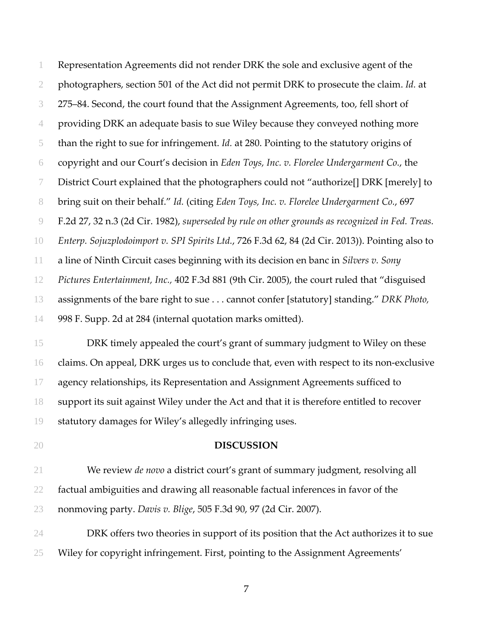Representation Agreements did not render DRK the sole and exclusive agent of the photographers, section 501 of the Act did not permit DRK to prosecute the claim. *Id.* at 275–84. Second, the court found that the Assignment Agreements, too, fell short of providing DRK an adequate basis to sue Wiley because they conveyed nothing more than the right to sue for infringement. *Id.* at 280. Pointing to the statutory origins of copyright and our Court's decision in *Eden Toys, Inc. v. Florelee Undergarment Co.*, the District Court explained that the photographers could not "authorize[] DRK [merely] to bring suit on their behalf." *Id.* (citing *Eden Toys, Inc. v. Florelee Undergarment Co.*, 697 F.2d 27, 32 n.3 (2d Cir. 1982), *superseded by rule on other grounds as recognized in Fed. Treas. Enterp. Sojuzplodoimport v. SPI Spirits Ltd.*, 726 F.3d 62, 84 (2d Cir. 2013)). Pointing also to a line of Ninth Circuit cases beginning with its decision en banc in *Silvers v. Sony Pictures Entertainment, Inc.,* 402 F.3d 881 (9th Cir. 2005), the court ruled that "disguised assignments of the bare right to sue . . . cannot confer [statutory] standing." *DRK Photo,* 998 F. Supp. 2d at 284 (internal quotation marks omitted).

DRK timely appealed the court's grant of summary judgment to Wiley on these 16 claims. On appeal, DRK urges us to conclude that, even with respect to its non-exclusive agency relationships, its Representation and Assignment Agreements sufficed to support its suit against Wiley under the Act and that it is therefore entitled to recover statutory damages for Wiley's allegedly infringing uses.

#### **DISCUSSION**

We review *de novo* a district court's grant of summary judgment, resolving all factual ambiguities and drawing all reasonable factual inferences in favor of the nonmoving party. *Davis v. Blige*, 505 F.3d 90, 97 (2d Cir. 2007).

DRK offers two theories in support of its position that the Act authorizes it to sue Wiley for copyright infringement. First, pointing to the Assignment Agreements'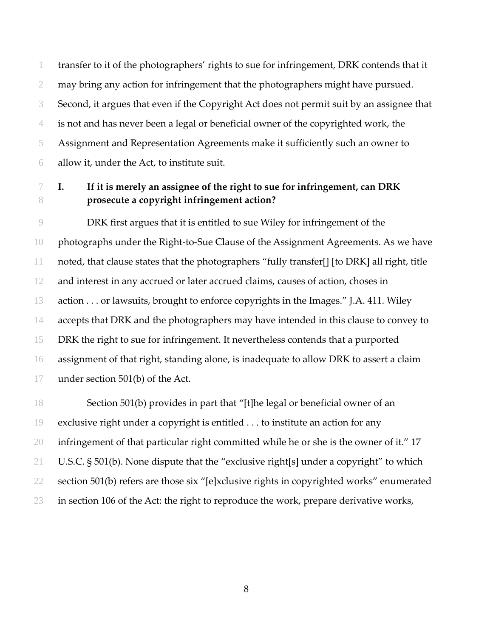transfer to it of the photographers' rights to sue for infringement, DRK contends that it may bring any action for infringement that the photographers might have pursued. Second, it argues that even if the Copyright Act does not permit suit by an assignee that is not and has never been a legal or beneficial owner of the copyrighted work, the Assignment and Representation Agreements make it sufficiently such an owner to allow it, under the Act, to institute suit.

# **I. If it is merely an assignee of the right to sue for infringement, can DRK prosecute a copyright infringement action?**

DRK first argues that it is entitled to sue Wiley for infringement of the photographs under the Right‐to‐Sue Clause of the Assignment Agreements. As we have noted, that clause states that the photographers "fully transfer[] [to DRK] all right, title and interest in any accrued or later accrued claims, causes of action, choses in action . . . or lawsuits, brought to enforce copyrights in the Images." J.A. 411. Wiley accepts that DRK and the photographers may have intended in this clause to convey to DRK the right to sue for infringement. It nevertheless contends that a purported assignment of that right, standing alone, is inadequate to allow DRK to assert a claim under section 501(b) of the Act.

Section 501(b) provides in part that "[t]he legal or beneficial owner of an exclusive right under a copyright is entitled . . . to institute an action for any infringement of that particular right committed while he or she is the owner of it." 17 U.S.C. § 501(b). None dispute that the "exclusive right[s] under a copyright" to which section 501(b) refers are those six "[e]xclusive rights in copyrighted works" enumerated 23 in section 106 of the Act: the right to reproduce the work, prepare derivative works,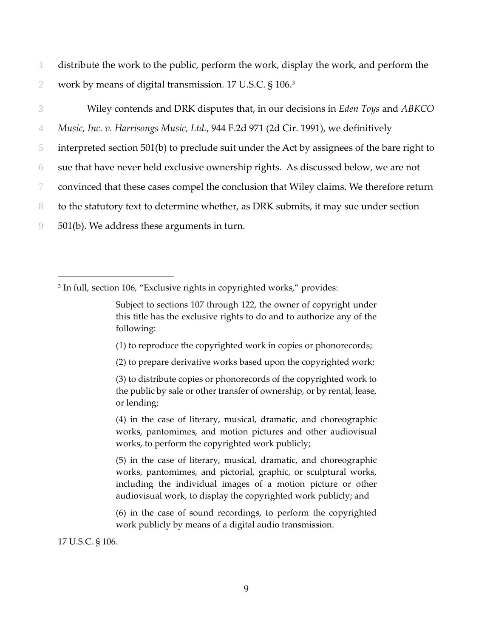1 distribute the work to the public, perform the work, display the work, and perform the 2 work by means of digital transmission. 17 U.S.C. § 106.3

Wiley contends and DRK disputes that, in our decisions in *Eden Toys* and *ABKCO Music, Inc. v. Harrisongs Music, Ltd.*, 944 F.2d 971 (2d Cir. 1991), we definitively interpreted section 501(b) to preclude suit under the Act by assignees of the bare right to sue that have never held exclusive ownership rights. As discussed below, we are not convinced that these cases compel the conclusion that Wiley claims. We therefore return to the statutory text to determine whether, as DRK submits, it may sue under section 501(b). We address these arguments in turn.

- (1) to reproduce the copyrighted work in copies or phonorecords;
- (2) to prepare derivative works based upon the copyrighted work;

17 U.S.C. § 106.

<sup>&</sup>lt;sup>3</sup> In full, section 106, "Exclusive rights in copyrighted works," provides:

Subject to sections 107 through 122, the owner of copyright under this title has the exclusive rights to do and to authorize any of the following:

<sup>(3)</sup> to distribute copies or phonorecords of the copyrighted work to the public by sale or other transfer of ownership, or by rental, lease, or lending;

<sup>(4)</sup> in the case of literary, musical, dramatic, and choreographic works, pantomimes, and motion pictures and other audiovisual works, to perform the copyrighted work publicly;

<sup>(5)</sup> in the case of literary, musical, dramatic, and choreographic works, pantomimes, and pictorial, graphic, or sculptural works, including the individual images of a motion picture or other audiovisual work, to display the copyrighted work publicly; and

<sup>(6)</sup> in the case of sound recordings, to perform the copyrighted work publicly by means of a digital audio transmission.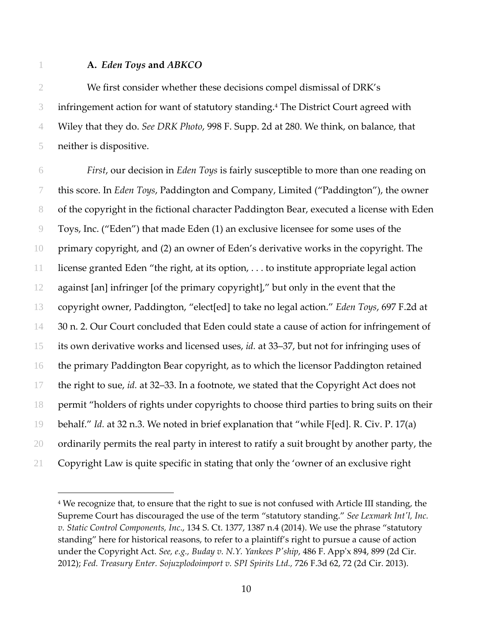$\overline{a}$ 

#### **A.** *Eden Toys* **and** *ABKCO*

We first consider whether these decisions compel dismissal of DRK's 3 infringement action for want of statutory standing.<sup>4</sup> The District Court agreed with Wiley that they do. *See DRK Photo*, 998 F. Supp. 2d at 280. We think, on balance, that neither is dispositive.

*First*, our decision in *Eden Toys* is fairly susceptible to more than one reading on this score. In *Eden Toys*, Paddington and Company, Limited ("Paddington"), the owner of the copyright in the fictional character Paddington Bear, executed a license with Eden Toys, Inc. ("Eden") that made Eden (1) an exclusive licensee for some uses of the primary copyright, and (2) an owner of Eden's derivative works in the copyright. The license granted Eden "the right, at its option, . . . to institute appropriate legal action against [an] infringer [of the primary copyright]," but only in the event that the copyright owner, Paddington, "elect[ed] to take no legal action." *Eden Toys*, 697 F.2d at 14 30 n. 2. Our Court concluded that Eden could state a cause of action for infringement of its own derivative works and licensed uses, *id.* at 33–37, but not for infringing uses of the primary Paddington Bear copyright, as to which the licensor Paddington retained the right to sue, *id.* at 32–33. In a footnote, we stated that the Copyright Act does not permit "holders of rights under copyrights to choose third parties to bring suits on their behalf." *Id.* at 32 n.3. We noted in brief explanation that "while F[ed]. R. Civ. P. 17(a) 20 ordinarily permits the real party in interest to ratify a suit brought by another party, the Copyright Law is quite specific in stating that only the 'owner of an exclusive right

<sup>&</sup>lt;sup>4</sup> We recognize that, to ensure that the right to sue is not confused with Article III standing, the Supreme Court has discouraged the use of the term "statutory standing." *See Lexmark Intʹl, Inc. v. Static Control Components, Inc*., 134 S. Ct. 1377, 1387 n.4 (2014). We use the phrase "statutory standing" here for historical reasons, to refer to a plaintiff's right to pursue a cause of action under the Copyright Act. *See, e.g., Buday v. N.Y. Yankees Pʹship*, 486 F. Appʹx 894, 899 (2d Cir. 2012); *Fed. Treasury Enter. Sojuzplodoimport v. SPI Spirits Ltd.,* 726 F.3d 62, 72 (2d Cir. 2013).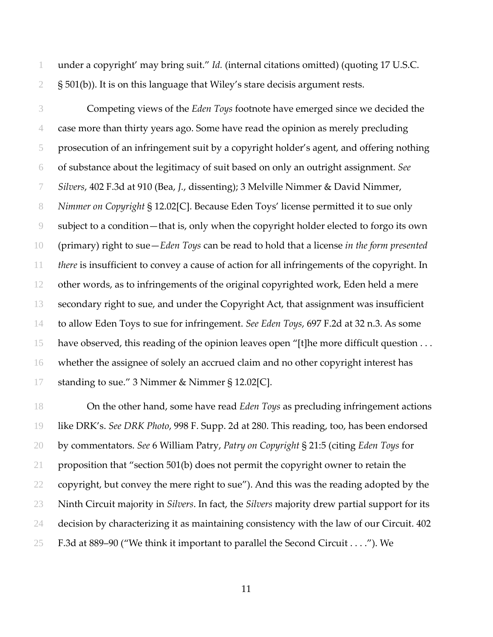under a copyright' may bring suit." *Id.* (internal citations omitted) (quoting 17 U.S.C.  $2\frac{1}{501(b)}$ . It is on this language that Wiley's stare decisis argument rests.

Competing views of the *Eden Toys* footnote have emerged since we decided the case more than thirty years ago. Some have read the opinion as merely precluding prosecution of an infringement suit by a copyright holder's agent, and offering nothing of substance about the legitimacy of suit based on only an outright assignment. *See Silvers*, 402 F.3d at 910 (Bea, *J.*, dissenting); 3 Melville Nimmer & David Nimmer, *Nimmer on Copyright* § 12.02[C]. Because Eden Toys' license permitted it to sue only subject to a condition—that is, only when the copyright holder elected to forgo its own (primary) right to sue—*Eden Toys* can be read to hold that a license *in the form presented there* is insufficient to convey a cause of action for all infringements of the copyright. In other words, as to infringements of the original copyrighted work, Eden held a mere secondary right to sue, and under the Copyright Act, that assignment was insufficient to allow Eden Toys to sue for infringement. *See Eden Toys*, 697 F.2d at 32 n.3. As some have observed, this reading of the opinion leaves open "[t]he more difficult question . . . whether the assignee of solely an accrued claim and no other copyright interest has standing to sue." 3 Nimmer & Nimmer § 12.02[C].

On the other hand, some have read *Eden Toys* as precluding infringement actions like DRK's. *See DRK Photo*, 998 F. Supp. 2d at 280. This reading, too, has been endorsed by commentators. *See* 6 William Patry, *Patry on Copyright* § 21:5 (citing *Eden Toys* for proposition that "section 501(b) does not permit the copyright owner to retain the copyright, but convey the mere right to sue"). And this was the reading adopted by the Ninth Circuit majority in *Silvers*. In fact, the *Silvers* majority drew partial support for its decision by characterizing it as maintaining consistency with the law of our Circuit. 402 F.3d at 889–90 ("We think it important to parallel the Second Circuit . . . ."). We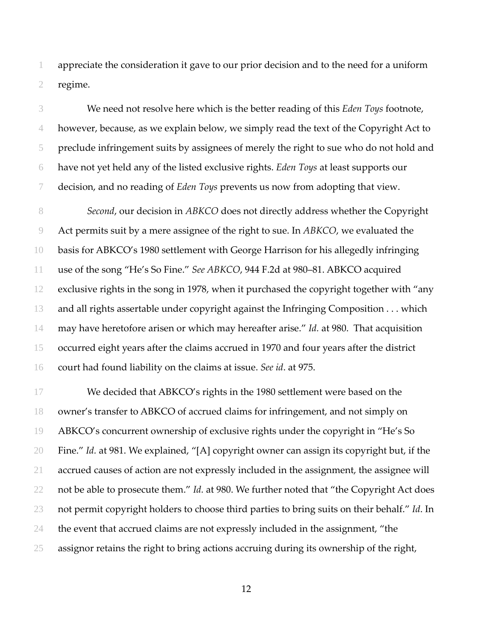appreciate the consideration it gave to our prior decision and to the need for a uniform regime.

We need not resolve here which is the better reading of this *Eden Toys* footnote, however, because, as we explain below, we simply read the text of the Copyright Act to preclude infringement suits by assignees of merely the right to sue who do not hold and have not yet held any of the listed exclusive rights. *Eden Toys* at least supports our decision, and no reading of *Eden Toys* prevents us now from adopting that view.

*Second*, our decision in *ABKCO* does not directly address whether the Copyright Act permits suit by a mere assignee of the right to sue. In *ABKCO*, we evaluated the basis for ABKCO's 1980 settlement with George Harrison for his allegedly infringing use of the song "He's So Fine." *See ABKCO*, 944 F.2d at 980–81. ABKCO acquired exclusive rights in the song in 1978, when it purchased the copyright together with "any and all rights assertable under copyright against the Infringing Composition . . . which may have heretofore arisen or which may hereafter arise." *Id.* at 980. That acquisition occurred eight years after the claims accrued in 1970 and four years after the district court had found liability on the claims at issue. *See id*. at 975.

We decided that ABKCO's rights in the 1980 settlement were based on the owner's transfer to ABKCO of accrued claims for infringement, and not simply on ABKCO's concurrent ownership of exclusive rights under the copyright in "He's So Fine." *Id.* at 981. We explained, "[A] copyright owner can assign its copyright but, if the accrued causes of action are not expressly included in the assignment, the assignee will not be able to prosecute them." *Id.* at 980. We further noted that "the Copyright Act does not permit copyright holders to choose third parties to bring suits on their behalf." *Id*. In 24 the event that accrued claims are not expressly included in the assignment, "the assignor retains the right to bring actions accruing during its ownership of the right,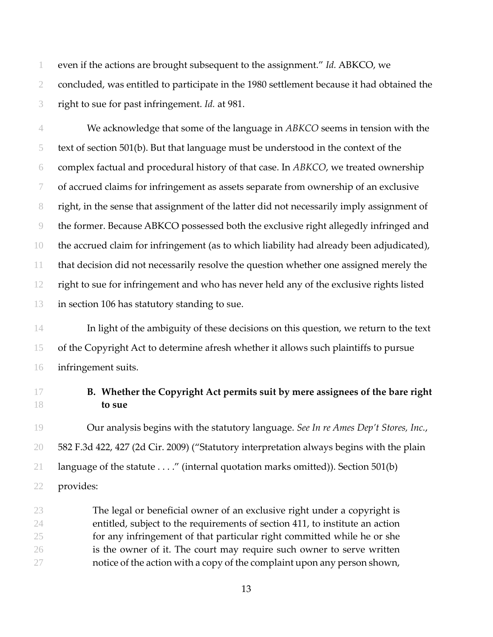even if the actions are brought subsequent to the assignment." *Id.* ABKCO, we concluded, was entitled to participate in the 1980 settlement because it had obtained the right to sue for past infringement. *Id.* at 981.

We acknowledge that some of the language in *ABKCO* seems in tension with the text of section 501(b). But that language must be understood in the context of the complex factual and procedural history of that case. In *ABKCO*, we treated ownership of accrued claims for infringement as assets separate from ownership of an exclusive right, in the sense that assignment of the latter did not necessarily imply assignment of the former. Because ABKCO possessed both the exclusive right allegedly infringed and the accrued claim for infringement (as to which liability had already been adjudicated), that decision did not necessarily resolve the question whether one assigned merely the right to sue for infringement and who has never held any of the exclusive rights listed in section 106 has statutory standing to sue.

In light of the ambiguity of these decisions on this question, we return to the text of the Copyright Act to determine afresh whether it allows such plaintiffs to pursue infringement suits.

## **B. Whether the Copyright Act permits suit by mere assignees of the bare right to sue**

Our analysis begins with the statutory language. *See In re Ames Dep't Stores, Inc.*, 582 F.3d 422, 427 (2d Cir. 2009) ("Statutory interpretation always begins with the plain language of the statute . . . ." (internal quotation marks omitted)). Section 501(b) provides:

The legal or beneficial owner of an exclusive right under a copyright is entitled, subject to the requirements of section 411, to institute an action for any infringement of that particular right committed while he or she is the owner of it. The court may require such owner to serve written notice of the action with a copy of the complaint upon any person shown,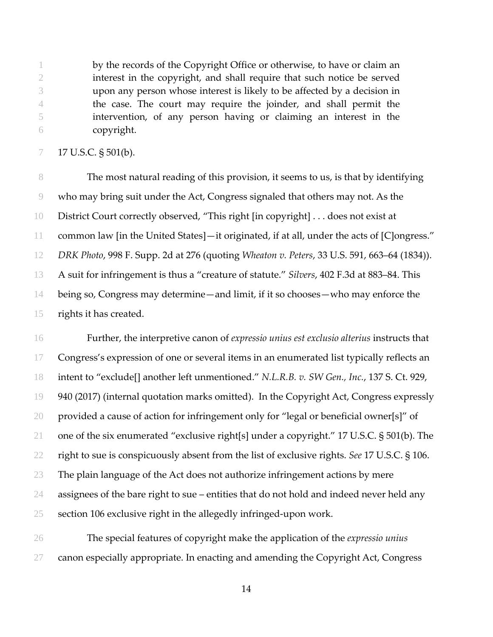by the records of the Copyright Office or otherwise, to have or claim an interest in the copyright, and shall require that such notice be served upon any person whose interest is likely to be affected by a decision in the case. The court may require the joinder, and shall permit the intervention, of any person having or claiming an interest in the copyright.

### 17 U.S.C. § 501(b).

The most natural reading of this provision, it seems to us, is that by identifying who may bring suit under the Act, Congress signaled that others may not. As the District Court correctly observed, "This right [in copyright] . . . does not exist at common law [in the United States]—it originated, if at all, under the acts of [C]ongress." *DRK Photo*, 998 F. Supp. 2d at 276 (quoting *Wheaton v. Peters*, 33 U.S. 591, 663–64 (1834)). A suit for infringement is thus a "creature of statute." *Silvers*, 402 F.3d at 883–84. This being so, Congress may determine—and limit, if it so chooses—who may enforce the rights it has created.

Further, the interpretive canon of *expressio unius est exclusio alterius* instructs that 17 Congress's expression of one or several items in an enumerated list typically reflects an intent to "exclude[] another left unmentioned." *N.L.R.B. v. SW Gen., Inc.*, 137 S. Ct. 929, 940 (2017) (internal quotation marks omitted). In the Copyright Act, Congress expressly provided a cause of action for infringement only for "legal or beneficial owner[s]" of one of the six enumerated "exclusive right[s] under a copyright." 17 U.S.C. § 501(b). The right to sue is conspicuously absent from the list of exclusive rights. *See* 17 U.S.C. § 106. The plain language of the Act does not authorize infringement actions by mere assignees of the bare right to sue – entities that do not hold and indeed never held any section 106 exclusive right in the allegedly infringed‐upon work.

The special features of copyright make the application of the *expressio unius* canon especially appropriate. In enacting and amending the Copyright Act, Congress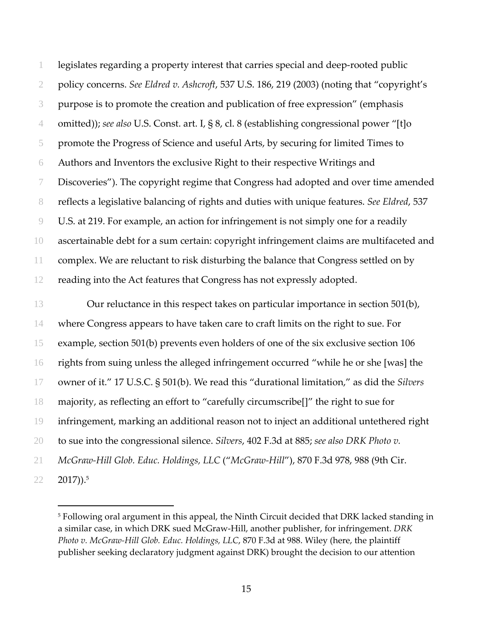legislates regarding a property interest that carries special and deep‐rooted public policy concerns. *See Eldred v. Ashcroft*, 537 U.S. 186, 219 (2003) (noting that "copyright's purpose is to promote the creation and publication of free expression" (emphasis omitted)); *see also* U.S. Const. art. I, § 8, cl. 8 (establishing congressional power "[t]o promote the Progress of Science and useful Arts, by securing for limited Times to Authors and Inventors the exclusive Right to their respective Writings and Discoveries"). The copyright regime that Congress had adopted and over time amended reflects a legislative balancing of rights and duties with unique features. *See Eldred*, 537 U.S. at 219. For example, an action for infringement is not simply one for a readily ascertainable debt for a sum certain: copyright infringement claims are multifaceted and complex. We are reluctant to risk disturbing the balance that Congress settled on by reading into the Act features that Congress has not expressly adopted.

**Our reluctance in this respect takes on particular importance in section 501(b)**, where Congress appears to have taken care to craft limits on the right to sue. For example, section 501(b) prevents even holders of one of the six exclusive section 106 rights from suing unless the alleged infringement occurred "while he or she [was] the owner of it." 17 U.S.C. § 501(b). We read this "durational limitation," as did the *Silvers* majority, as reflecting an effort to "carefully circumscribe[]" the right to sue for infringement, marking an additional reason not to inject an additional untethered right to sue into the congressional silence. *Silvers*, 402 F.3d at 885; *see also DRK Photo v. McGraw‐Hill Glob. Educ. Holdings, LLC* ("*McGraw‐Hill*"), 870 F.3d 978, 988 (9th Cir.  $22 \quad 2017)$ ).<sup>5</sup>

 $\overline{a}$ 

 Following oral argument in this appeal, the Ninth Circuit decided that DRK lacked standing in a similar case, in which DRK sued McGraw‐Hill, another publisher, for infringement. *DRK Photo v. McGraw‐Hill Glob. Educ. Holdings, LLC*, 870 F.3d at 988. Wiley (here, the plaintiff publisher seeking declaratory judgment against DRK) brought the decision to our attention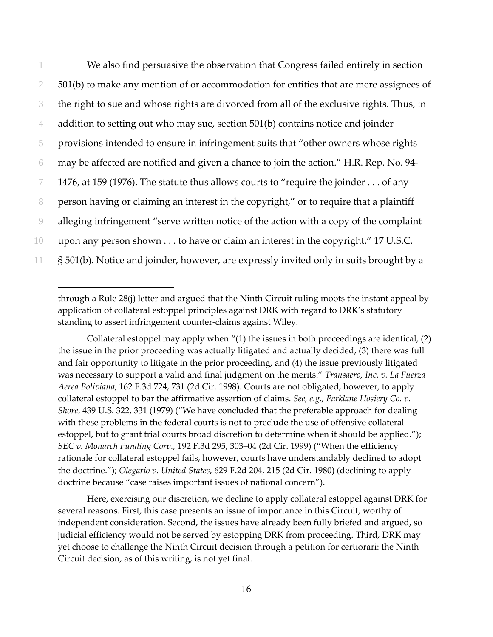|    | We also find persuasive the observation that Congress failed entirely in section          |
|----|-------------------------------------------------------------------------------------------|
|    | 501(b) to make any mention of or accommodation for entities that are mere assignees of    |
| 3  | the right to sue and whose rights are divorced from all of the exclusive rights. Thus, in |
| 4  | addition to setting out who may sue, section 501(b) contains notice and joinder           |
| 5  | provisions intended to ensure in infringement suits that "other owners whose rights       |
| 6  | may be affected are notified and given a chance to join the action." H.R. Rep. No. 94-    |
|    | 1476, at 159 (1976). The statute thus allows courts to "require the joinder of any        |
| 8  | person having or claiming an interest in the copyright," or to require that a plaintiff   |
| 9  | alleging infringement "serve written notice of the action with a copy of the complaint    |
| 10 | upon any person shown to have or claim an interest in the copyright." 17 U.S.C.           |
| 11 | § 501(b). Notice and joinder, however, are expressly invited only in suits brought by a   |

through a Rule 28(j) letter and argued that the Ninth Circuit ruling moots the instant appeal by application of collateral estoppel principles against DRK with regard to DRK's statutory standing to assert infringement counter‐claims against Wiley.

 $\overline{a}$ 

Collateral estoppel may apply when  $\prime\prime$ (1) the issues in both proceedings are identical, (2) the issue in the prior proceeding was actually litigated and actually decided, (3) there was full and fair opportunity to litigate in the prior proceeding, and (4) the issue previously litigated was necessary to support a valid and final judgment on the merits." *Transaero, Inc. v. La Fuerza Aerea Boliviana*, 162 F.3d 724, 731 (2d Cir. 1998). Courts are not obligated, however, to apply collateral estoppel to bar the affirmative assertion of claims. *See, e.g., Parklane Hosiery Co. v. Shore*, 439 U.S. 322, 331 (1979) ("We have concluded that the preferable approach for dealing with these problems in the federal courts is not to preclude the use of offensive collateral estoppel, but to grant trial courts broad discretion to determine when it should be applied."); *SEC v. Monarch Funding Corp.,* 192 F.3d 295, 303–04 (2d Cir. 1999) ("When the efficiency rationale for collateral estoppel fails, however, courts have understandably declined to adopt the doctrine."); *Olegario v. United States*, 629 F.2d 204, 215 (2d Cir. 1980) (declining to apply doctrine because "case raises important issues of national concern").

Here, exercising our discretion, we decline to apply collateral estoppel against DRK for several reasons. First, this case presents an issue of importance in this Circuit, worthy of independent consideration. Second, the issues have already been fully briefed and argued, so judicial efficiency would not be served by estopping DRK from proceeding. Third, DRK may yet choose to challenge the Ninth Circuit decision through a petition for certiorari: the Ninth Circuit decision, as of this writing, is not yet final.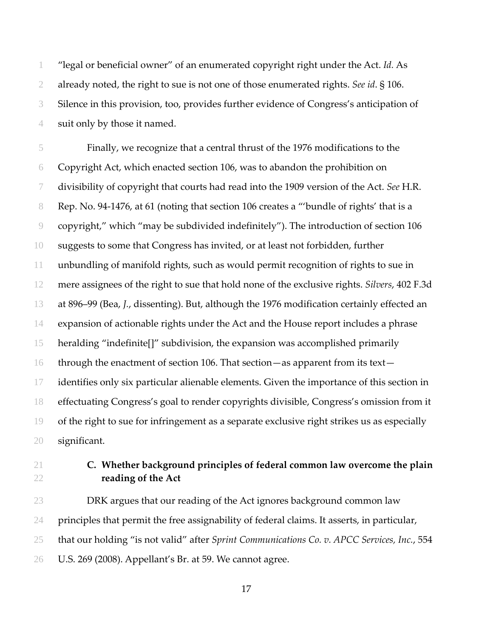"legal or beneficial owner" of an enumerated copyright right under the Act. *Id.* As already noted, the right to sue is not one of those enumerated rights. *See id*. § 106. Silence in this provision, too, provides further evidence of Congress's anticipation of suit only by those it named.

Finally, we recognize that a central thrust of the 1976 modifications to the Copyright Act, which enacted section 106, was to abandon the prohibition on divisibility of copyright that courts had read into the 1909 version of the Act. *See* H.R. 8 Rep. No. 94-1476, at 61 (noting that section 106 creates a "'bundle of rights' that is a copyright," which "may be subdivided indefinitely"). The introduction of section 106 suggests to some that Congress has invited, or at least not forbidden, further unbundling of manifold rights, such as would permit recognition of rights to sue in mere assignees of the right to sue that hold none of the exclusive rights. *Silvers*, 402 F.3d at 896–99 (Bea, *J.*, dissenting). But, although the 1976 modification certainly effected an expansion of actionable rights under the Act and the House report includes a phrase heralding "indefinite[]" subdivision, the expansion was accomplished primarily through the enactment of section 106. That section—as apparent from its text— identifies only six particular alienable elements. Given the importance of this section in effectuating Congress's goal to render copyrights divisible, Congress's omission from it of the right to sue for infringement as a separate exclusive right strikes us as especially significant.

## **C. Whether background principles of federal common law overcome the plain reading of the Act**

DRK argues that our reading of the Act ignores background common law principles that permit the free assignability of federal claims. It asserts, in particular, that our holding "is not valid" after *Sprint Communications Co. v. APCC Services, Inc.*, 554 U.S. 269 (2008). Appellant's Br. at 59. We cannot agree.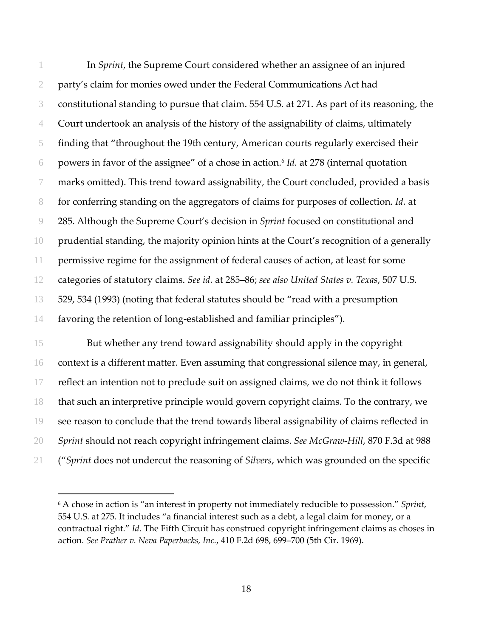In *Sprint*, the Supreme Court considered whether an assignee of an injured party's claim for monies owed under the Federal Communications Act had constitutional standing to pursue that claim. 554 U.S. at 271. As part of its reasoning, the Court undertook an analysis of the history of the assignability of claims, ultimately finding that "throughout the 19th century, American courts regularly exercised their powers in favor of the assignee" of a chose in action.6 *Id.* at 278 (internal quotation marks omitted). This trend toward assignability, the Court concluded, provided a basis for conferring standing on the aggregators of claims for purposes of collection. *Id.* at 285. Although the Supreme Court's decision in *Sprint* focused on constitutional and prudential standing, the majority opinion hints at the Court's recognition of a generally permissive regime for the assignment of federal causes of action, at least for some categories of statutory claims. *See id.* at 285–86; *see also United States v. Texas*, 507 U.S. 529, 534 (1993) (noting that federal statutes should be "read with a presumption 14 favoring the retention of long-established and familiar principles").

But whether any trend toward assignability should apply in the copyright context is a different matter. Even assuming that congressional silence may, in general, reflect an intention not to preclude suit on assigned claims, we do not think it follows that such an interpretive principle would govern copyright claims. To the contrary, we see reason to conclude that the trend towards liberal assignability of claims reflected in *Sprint* should not reach copyright infringement claims. *See McGraw‐Hill*, 870 F.3d at 988 ("*Sprint* does not undercut the reasoning of *Silvers*, which was grounded on the specific

<u>.</u>

 A chose in action is "an interest in property not immediately reducible to possession." *Sprint*, U.S. at 275. It includes "a financial interest such as a debt, a legal claim for money, or a contractual right." *Id*. The Fifth Circuit has construed copyright infringement claims as choses in action. *See Prather v. Neva Paperbacks, Inc.*, 410 F.2d 698, 699–700 (5th Cir. 1969).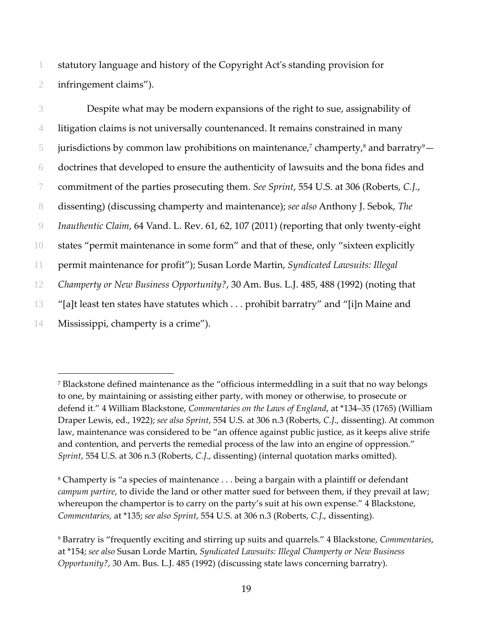1 statutory language and history of the Copyright Actʹs standing provision for 2 infringement claims").

Despite what may be modern expansions of the right to sue, assignability of litigation claims is not universally countenanced. It remains constrained in many  $\frac{1}{2}$  jurisdictions by common law prohibitions on maintenance,<sup>7</sup> champerty,<sup>8</sup> and barratry <sup>9</sup> doctrines that developed to ensure the authenticity of lawsuits and the bona fides and commitment of the parties prosecuting them. *See Sprint*, 554 U.S. at 306 (Roberts, *C.J.*, dissenting) (discussing champerty and maintenance); *see also* Anthony J. Sebok, *The Inauthentic Claim*, 64 Vand. L. Rev. 61, 62, 107 (2011) (reporting that only twenty‐eight states "permit maintenance in some form" and that of these, only "sixteen explicitly permit maintenance for profit"); Susan Lorde Martin, *Syndicated Lawsuits: Illegal Champerty or New Business Opportunity?*, 30 Am. Bus. L.J. 485, 488 (1992) (noting that "[a]t least ten states have statutes which . . . prohibit barratry" and "[i]n Maine and Mississippi, champerty is a crime").

 $\overline{a}$ 

<sup>7</sup> Blackstone defined maintenance as the "officious intermeddling in a suit that no way belongs to one, by maintaining or assisting either party, with money or otherwise, to prosecute or defend it." 4 William Blackstone, *Commentaries on the Laws of England*, at \*134–35 (1765) (William Draper Lewis, ed., 1922); *see also Sprint*, 554 U.S. at 306 n.3 (Roberts, *C.J*., dissenting). At common law, maintenance was considered to be "an offence against public justice, as it keeps alive strife and contention, and perverts the remedial process of the law into an engine of oppression." *Sprint*, 554 U.S. at 306 n.3 (Roberts, *C.J*., dissenting) (internal quotation marks omitted).

<sup>8</sup> Champerty is "a species of maintenance . . . being a bargain with a plaintiff or defendant *campum partire*, to divide the land or other matter sued for between them, if they prevail at law; whereupon the champertor is to carry on the party's suit at his own expense." 4 Blackstone, *Commentaries,* at \*135; *see also Sprint*, 554 U.S. at 306 n.3 (Roberts, *C.J*., dissenting).

<sup>9</sup> Barratry is "frequently exciting and stirring up suits and quarrels." 4 Blackstone, *Commentaries*, at \*154; *see also* Susan Lorde Martin, *Syndicated Lawsuits: Illegal Champerty or New Business Opportunity?*, 30 Am. Bus. L.J. 485 (1992) (discussing state laws concerning barratry).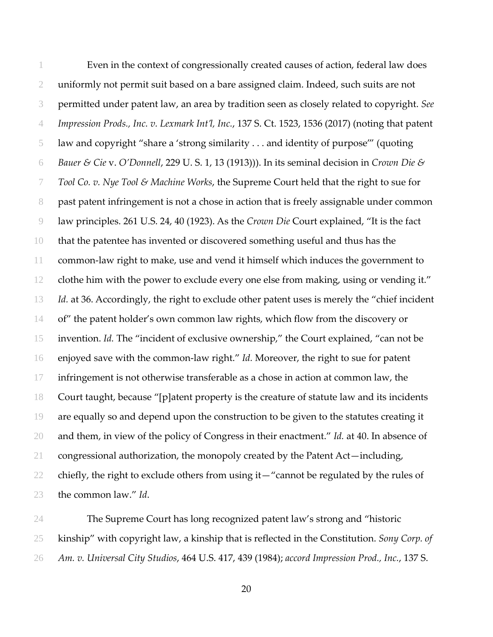Even in the context of congressionally created causes of action, federal law does uniformly not permit suit based on a bare assigned claim. Indeed, such suits are not permitted under patent law, an area by tradition seen as closely related to copyright. *See Impression Prods., Inc. v. Lexmark Int'l, Inc.*, 137 S. Ct. 1523, 1536 (2017) (noting that patent law and copyright "share a 'strong similarity . . . and identity of purpose'" (quoting *Bauer & Cie* v. *O'Donnell*, 229 U. S. 1, 13 (1913))). In its seminal decision in *Crown Die & Tool Co. v. Nye Tool & Machine Works*, the Supreme Court held that the right to sue for past patent infringement is not a chose in action that is freely assignable under common law principles. 261 U.S. 24, 40 (1923). As the *Crown Die* Court explained, "It is the fact that the patentee has invented or discovered something useful and thus has the common‐law right to make, use and vend it himself which induces the government to clothe him with the power to exclude every one else from making, using or vending it." *Id.* at 36. Accordingly, the right to exclude other patent uses is merely the "chief incident of" the patent holder's own common law rights, which flow from the discovery or invention. *Id.* The "incident of exclusive ownership," the Court explained, "can not be enjoyed save with the common‐law right." *Id.* Moreover, the right to sue for patent infringement is not otherwise transferable as a chose in action at common law, the Court taught, because "[p]atent property is the creature of statute law and its incidents are equally so and depend upon the construction to be given to the statutes creating it and them, in view of the policy of Congress in their enactment." *Id.* at 40. In absence of congressional authorization, the monopoly created by the Patent Act—including, 22 chiefly, the right to exclude others from using it—"cannot be regulated by the rules of the common law." *Id*.

The Supreme Court has long recognized patent law's strong and "historic kinship" with copyright law, a kinship that is reflected in the Constitution. *Sony Corp. of Am. v. Universal City Studios*, 464 U.S. 417, 439 (1984); *accord Impression Prod., Inc.*, 137 S.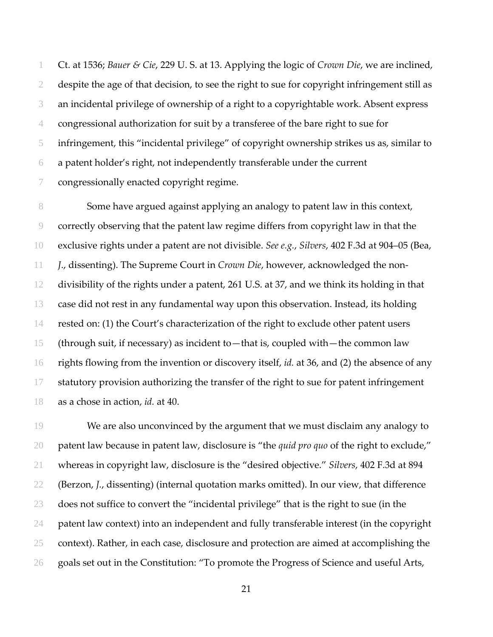Ct. at 1536; *Bauer & Cie*, 229 U. S. at 13. Applying the logic of *Crown Die*, we are inclined, despite the age of that decision, to see the right to sue for copyright infringement still as an incidental privilege of ownership of a right to a copyrightable work. Absent express congressional authorization for suit by a transferee of the bare right to sue for infringement, this "incidental privilege" of copyright ownership strikes us as, similar to a patent holder's right, not independently transferable under the current congressionally enacted copyright regime.

Some have argued against applying an analogy to patent law in this context, correctly observing that the patent law regime differs from copyright law in that the exclusive rights under a patent are not divisible. *See e.g.*, *Silvers*, 402 F.3d at 904–05 (Bea, *J*., dissenting). The Supreme Court in *Crown Die*, however, acknowledged the non‐ divisibility of the rights under a patent, 261 U.S. at 37, and we think its holding in that case did not rest in any fundamental way upon this observation. Instead, its holding rested on: (1) the Court's characterization of the right to exclude other patent users (through suit, if necessary) as incident to—that is, coupled with—the common law rights flowing from the invention or discovery itself, *id.* at 36, and (2) the absence of any statutory provision authorizing the transfer of the right to sue for patent infringement as a chose in action, *id.* at 40.

We are also unconvinced by the argument that we must disclaim any analogy to patent law because in patent law, disclosure is "the *quid pro quo* of the right to exclude," whereas in copyright law, disclosure is the "desired objective." *Silvers*, 402 F.3d at 894 (Berzon, *J.*, dissenting) (internal quotation marks omitted). In our view, that difference does not suffice to convert the "incidental privilege" that is the right to sue (in the patent law context) into an independent and fully transferable interest (in the copyright 25 context). Rather, in each case, disclosure and protection are aimed at accomplishing the goals set out in the Constitution: "To promote the Progress of Science and useful Arts,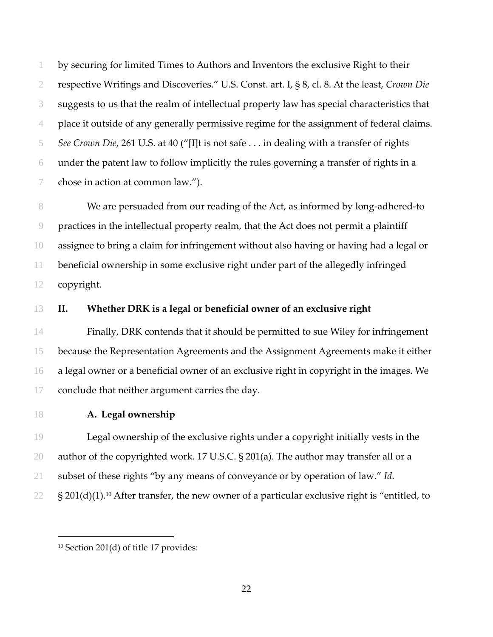by securing for limited Times to Authors and Inventors the exclusive Right to their respective Writings and Discoveries." U.S. Const. art. I, § 8, cl. 8. At the least, *Crown Die* suggests to us that the realm of intellectual property law has special characteristics that place it outside of any generally permissive regime for the assignment of federal claims. *See Crown Die*, 261 U.S. at 40 ("[I]t is not safe . . . in dealing with a transfer of rights under the patent law to follow implicitly the rules governing a transfer of rights in a chose in action at common law.").

8 We are persuaded from our reading of the Act, as informed by long-adhered-to practices in the intellectual property realm, that the Act does not permit a plaintiff assignee to bring a claim for infringement without also having or having had a legal or beneficial ownership in some exclusive right under part of the allegedly infringed copyright.

## **II. Whether DRK is a legal or beneficial owner of an exclusive right**

Finally, DRK contends that it should be permitted to sue Wiley for infringement because the Representation Agreements and the Assignment Agreements make it either a legal owner or a beneficial owner of an exclusive right in copyright in the images. We conclude that neither argument carries the day.

 $\overline{a}$ 

## **A. Legal ownership**

Legal ownership of the exclusive rights under a copyright initially vests in the author of the copyrighted work. 17 U.S.C. § 201(a). The author may transfer all or a subset of these rights "by any means of conveyance or by operation of law." *Id*.  $22 \text{ S } 201(d)(1).$ <sup>10</sup> After transfer, the new owner of a particular exclusive right is "entitled, to

<sup>&</sup>lt;sup>10</sup> Section 201(d) of title 17 provides: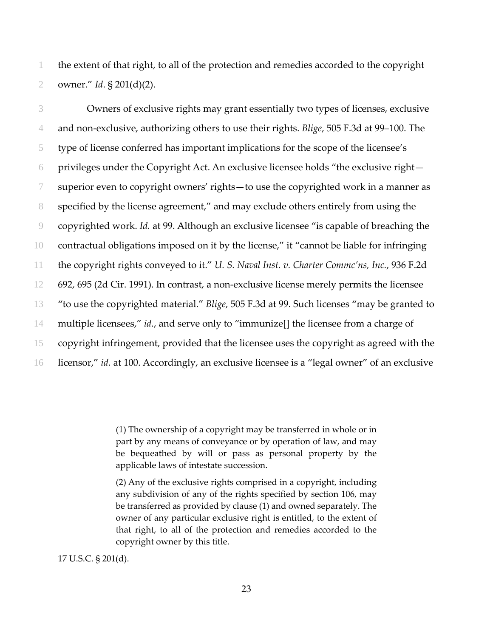the extent of that right, to all of the protection and remedies accorded to the copyright owner." *Id*. § 201(d)(2).

Owners of exclusive rights may grant essentially two types of licenses, exclusive and non‐exclusive, authorizing others to use their rights. *Blige*, 505 F.3d at 99–100. The type of license conferred has important implications for the scope of the licensee's privileges under the Copyright Act. An exclusive licensee holds "the exclusive right— superior even to copyright owners' rights—to use the copyrighted work in a manner as specified by the license agreement," and may exclude others entirely from using the copyrighted work. *Id.* at 99. Although an exclusive licensee "is capable of breaching the 10 contractual obligations imposed on it by the license," it "cannot be liable for infringing the copyright rights conveyed to it." *U. S. Naval Inst. v. Charter Commc'ns, Inc.*, 936 F.2d 692, 695 (2d Cir. 1991). In contrast, a non‐exclusive license merely permits the licensee "to use the copyrighted material." *Blige*, 505 F.3d at 99. Such licenses "may be granted to multiple licensees," *id.*, and serve only to "immunize[] the licensee from a charge of copyright infringement, provided that the licensee uses the copyright as agreed with the licensor," *id.* at 100. Accordingly, an exclusive licensee is a "legal owner" of an exclusive

U.S.C. § 201(d).

<sup>(1)</sup> The ownership of a copyright may be transferred in whole or in part by any means of conveyance or by operation of law, and may be bequeathed by will or pass as personal property by the applicable laws of intestate succession.

<sup>(2)</sup> Any of the exclusive rights comprised in a copyright, including any subdivision of any of the rights specified by section 106, may be transferred as provided by clause (1) and owned separately. The owner of any particular exclusive right is entitled, to the extent of that right, to all of the protection and remedies accorded to the copyright owner by this title.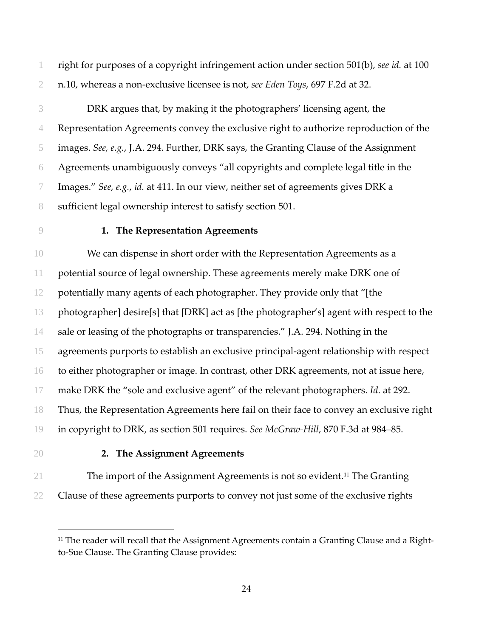right for purposes of a copyright infringement action under section 501(b), *see id.* at 100 n.10, whereas a non‐exclusive licensee is not, *see Eden Toys*, 697 F.2d at 32.

- DRK argues that, by making it the photographers' licensing agent, the Representation Agreements convey the exclusive right to authorize reproduction of the images. *See, e.g.*, J.A. 294. Further, DRK says, the Granting Clause of the Assignment Agreements unambiguously conveys "all copyrights and complete legal title in the Images." *See, e.g.*, *id.* at 411. In our view, neither set of agreements gives DRK a sufficient legal ownership interest to satisfy section 501.
- 

## **1. The Representation Agreements**

We can dispense in short order with the Representation Agreements as a potential source of legal ownership. These agreements merely make DRK one of potentially many agents of each photographer. They provide only that "[the photographer] desire[s] that [DRK] act as [the photographer's] agent with respect to the sale or leasing of the photographs or transparencies." J.A. 294. Nothing in the agreements purports to establish an exclusive principal‐agent relationship with respect to either photographer or image. In contrast, other DRK agreements, not at issue here, make DRK the "sole and exclusive agent" of the relevant photographers. *Id*. at 292. Thus, the Representation Agreements here fail on their face to convey an exclusive right in copyright to DRK, as section 501 requires. *See McGraw‐Hill*, 870 F.3d at 984–85.

### **2. The Assignment Agreements**

- 21 The import of the Assignment Agreements is not so evident.<sup>11</sup> The Granting
- Clause of these agreements purports to convey not just some of the exclusive rights

 $\overline{a}$ 

 The reader will recall that the Assignment Agreements contain a Granting Clause and a Rightto‐Sue Clause. The Granting Clause provides: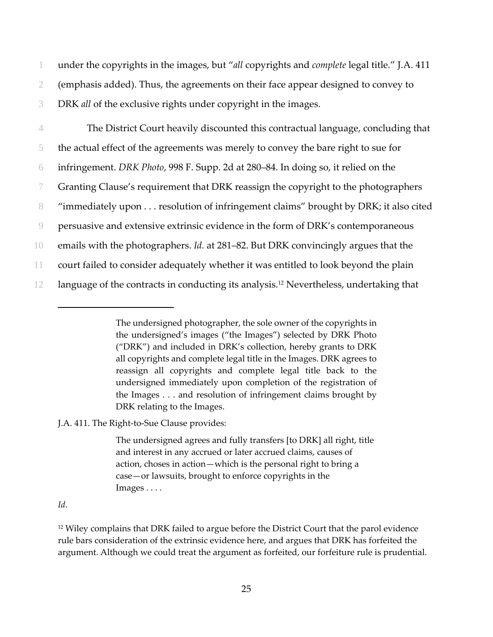1 under the copyrights in the images, but "*all* copyrights and *complete* legal title." J.A. 411 2 (emphasis added). Thus, the agreements on their face appear designed to convey to 3 DRK *all* of the exclusive rights under copyright in the images.

The District Court heavily discounted this contractual language, concluding that the actual effect of the agreements was merely to convey the bare right to sue for infringement. *DRK Photo*, 998 F. Supp. 2d at 280–84. In doing so, it relied on the Granting Clause's requirement that DRK reassign the copyright to the photographers "immediately upon . . . resolution of infringement claims" brought by DRK; it also cited persuasive and extensive extrinsic evidence in the form of DRK's contemporaneous emails with the photographers. *Id.* at 281–82. But DRK convincingly argues that the court failed to consider adequately whether it was entitled to look beyond the plain 12 language of the contracts in conducting its analysis.<sup>12</sup> Nevertheless, undertaking that

J.A. 411. The Right‐to‐Sue Clause provides:

The undersigned agrees and fully transfers [to DRK] all right, title and interest in any accrued or later accrued claims, causes of action, choses in action—which is the personal right to bring a case—or lawsuits, brought to enforce copyrights in the Images . . . .

#### *Id*.

 $\overline{a}$ 

<sup>12</sup> Wiley complains that DRK failed to argue before the District Court that the parol evidence rule bars consideration of the extrinsic evidence here, and argues that DRK has forfeited the argument. Although we could treat the argument as forfeited, our forfeiture rule is prudential.

The undersigned photographer, the sole owner of the copyrights in the undersigned's images ("the Images") selected by DRK Photo ("DRK") and included in DRK's collection, hereby grants to DRK all copyrights and complete legal title in the Images. DRK agrees to reassign all copyrights and complete legal title back to the undersigned immediately upon completion of the registration of the Images . . . and resolution of infringement claims brought by DRK relating to the Images.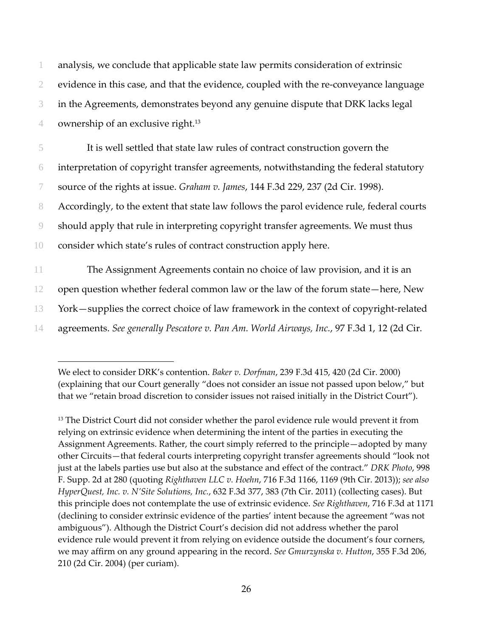analysis, we conclude that applicable state law permits consideration of extrinsic 2 evidence in this case, and that the evidence, coupled with the re-conveyance language in the Agreements, demonstrates beyond any genuine dispute that DRK lacks legal 4 ownership of an exclusive right.<sup>13</sup> It is well settled that state law rules of contract construction govern the interpretation of copyright transfer agreements, notwithstanding the federal statutory source of the rights at issue. *Graham v. James*, 144 F.3d 229, 237 (2d Cir. 1998). Accordingly, to the extent that state law follows the parol evidence rule, federal courts should apply that rule in interpreting copyright transfer agreements. We must thus consider which state's rules of contract construction apply here. The Assignment Agreements contain no choice of law provision, and it is an open question whether federal common law or the law of the forum state—here, New 13 York—supplies the correct choice of law framework in the context of copyright-related agreements. *See generally Pescatore v. Pan Am. World Airways, Inc.*, 97 F.3d 1, 12 (2d Cir.

 $\overline{a}$ 

<sup>13</sup> The District Court did not consider whether the parol evidence rule would prevent it from relying on extrinsic evidence when determining the intent of the parties in executing the Assignment Agreements. Rather, the court simply referred to the principle—adopted by many other Circuits—that federal courts interpreting copyright transfer agreements should "look not just at the labels parties use but also at the substance and effect of the contract." *DRK Photo*, 998 F. Supp. 2d at 280 (quoting *Righthaven LLC v. Hoehn*, 716 F.3d 1166, 1169 (9th Cir. 2013)); *see also HyperQuest, Inc. v. N'Site Solutions, Inc.*, 632 F.3d 377, 383 (7th Cir. 2011) (collecting cases). But this principle does not contemplate the use of extrinsic evidence. *See Righthaven*, 716 F.3d at 1171 (declining to consider extrinsic evidence of the parties' intent because the agreement "was not ambiguous"). Although the District Court's decision did not address whether the parol evidence rule would prevent it from relying on evidence outside the document's four corners, we may affirm on any ground appearing in the record. *See Gmurzynska v. Hutton*, 355 F.3d 206, 210 (2d Cir. 2004) (per curiam).

We elect to consider DRK's contention. *Baker v. Dorfman*, 239 F.3d 415, 420 (2d Cir. 2000) (explaining that our Court generally "does not consider an issue not passed upon below," but that we "retain broad discretion to consider issues not raised initially in the District Court").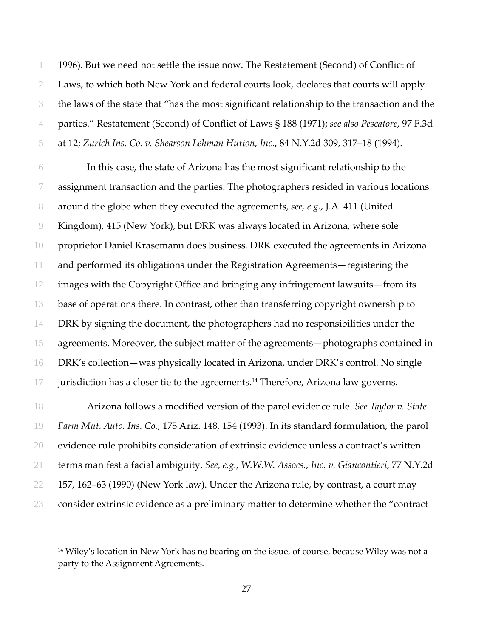1996). But we need not settle the issue now. The Restatement (Second) of Conflict of Laws, to which both New York and federal courts look, declares that courts will apply the laws of the state that "has the most significant relationship to the transaction and the parties." Restatement (Second) of Conflict of Laws § 188 (1971); *see also Pescatore*, 97 F.3d at 12; *Zurich Ins. Co. v. Shearson Lehman Hutton, Inc.*, 84 N.Y.2d 309, 317–18 (1994).

In this case, the state of Arizona has the most significant relationship to the assignment transaction and the parties. The photographers resided in various locations around the globe when they executed the agreements, *see, e.g.*, J.A. 411 (United Kingdom), 415 (New York), but DRK was always located in Arizona, where sole proprietor Daniel Krasemann does business. DRK executed the agreements in Arizona and performed its obligations under the Registration Agreements—registering the images with the Copyright Office and bringing any infringement lawsuits—from its base of operations there. In contrast, other than transferring copyright ownership to DRK by signing the document, the photographers had no responsibilities under the agreements. Moreover, the subject matter of the agreements—photographs contained in DRK's collection—was physically located in Arizona, under DRK's control. No single jurisdiction has a closer tie to the agreements.<sup>14</sup> Therefore, Arizona law governs.

Arizona follows a modified version of the parol evidence rule. *See Taylor v. State Farm Mut. Auto. Ins. Co.*, 175 Ariz. 148, 154 (1993). In its standard formulation, the parol evidence rule prohibits consideration of extrinsic evidence unless a contract's written terms manifest a facial ambiguity. *See, e.g.*, *W.W.W. Assocs., Inc. v. Giancontieri*, 77 N.Y.2d 157, 162–63 (1990) (New York law). Under the Arizona rule, by contrast, a court may consider extrinsic evidence as a preliminary matter to determine whether the "contract

 $\overline{a}$ 

<sup>&</sup>lt;sup>14</sup> Wiley's location in New York has no bearing on the issue, of course, because Wiley was not a party to the Assignment Agreements.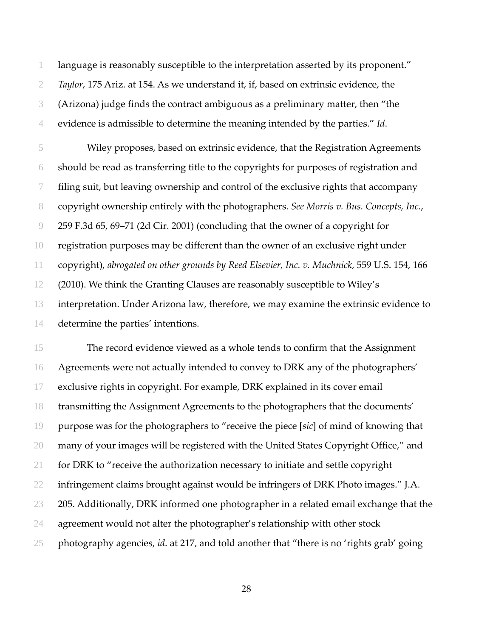language is reasonably susceptible to the interpretation asserted by its proponent." *Taylor*, 175 Ariz. at 154. As we understand it, if, based on extrinsic evidence, the (Arizona) judge finds the contract ambiguous as a preliminary matter, then "the evidence is admissible to determine the meaning intended by the parties." *Id*.

Wiley proposes, based on extrinsic evidence, that the Registration Agreements should be read as transferring title to the copyrights for purposes of registration and filing suit, but leaving ownership and control of the exclusive rights that accompany copyright ownership entirely with the photographers. *See Morris v. Bus. Concepts, Inc.*, 259 F.3d 65, 69–71 (2d Cir. 2001) (concluding that the owner of a copyright for registration purposes may be different than the owner of an exclusive right under copyright), *abrogated on other grounds by Reed Elsevier, Inc. v. Muchnick*, 559 U.S. 154, 166 (2010). We think the Granting Clauses are reasonably susceptible to Wiley's interpretation. Under Arizona law, therefore, we may examine the extrinsic evidence to determine the parties' intentions.

The record evidence viewed as a whole tends to confirm that the Assignment Agreements were not actually intended to convey to DRK any of the photographers' exclusive rights in copyright. For example, DRK explained in its cover email transmitting the Assignment Agreements to the photographers that the documents' purpose was for the photographers to "receive the piece [*sic*] of mind of knowing that many of your images will be registered with the United States Copyright Office," and for DRK to "receive the authorization necessary to initiate and settle copyright infringement claims brought against would be infringers of DRK Photo images." J.A. 23 205. Additionally, DRK informed one photographer in a related email exchange that the agreement would not alter the photographer's relationship with other stock photography agencies, *id*. at 217, and told another that "there is no 'rights grab' going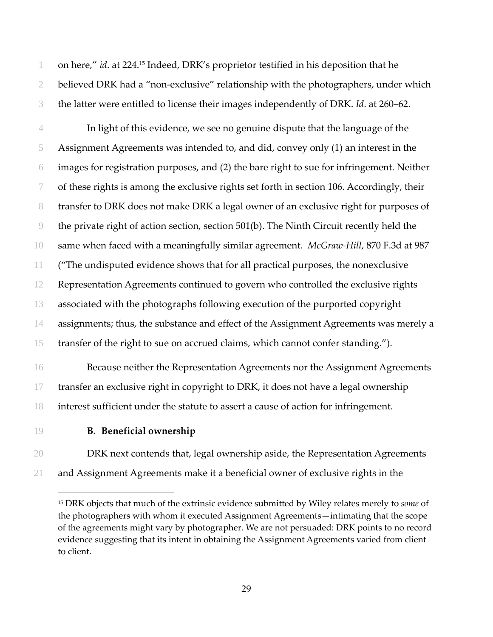1 on here," *id*. at 224.<sup>15</sup> Indeed, DRK's proprietor testified in his deposition that he 2 believed DRK had a "non-exclusive" relationship with the photographers, under which the latter were entitled to license their images independently of DRK. *Id*. at 260–62.

In light of this evidence, we see no genuine dispute that the language of the Assignment Agreements was intended to, and did, convey only (1) an interest in the images for registration purposes, and (2) the bare right to sue for infringement. Neither of these rights is among the exclusive rights set forth in section 106. Accordingly, their transfer to DRK does not make DRK a legal owner of an exclusive right for purposes of the private right of action section, section 501(b). The Ninth Circuit recently held the same when faced with a meaningfully similar agreement. *McGraw‐Hill*, 870 F.3d at 987 ("The undisputed evidence shows that for all practical purposes, the nonexclusive Representation Agreements continued to govern who controlled the exclusive rights associated with the photographs following execution of the purported copyright assignments; thus, the substance and effect of the Assignment Agreements was merely a transfer of the right to sue on accrued claims, which cannot confer standing.").

Because neither the Representation Agreements nor the Assignment Agreements transfer an exclusive right in copyright to DRK, it does not have a legal ownership interest sufficient under the statute to assert a cause of action for infringement.

 $\overline{a}$ 

## **B. Beneficial ownership**

DRK next contends that, legal ownership aside, the Representation Agreements and Assignment Agreements make it a beneficial owner of exclusive rights in the

 DRK objects that much of the extrinsic evidence submitted by Wiley relates merely to *some* of the photographers with whom it executed Assignment Agreements—intimating that the scope of the agreements might vary by photographer. We are not persuaded: DRK points to no record evidence suggesting that its intent in obtaining the Assignment Agreements varied from client to client.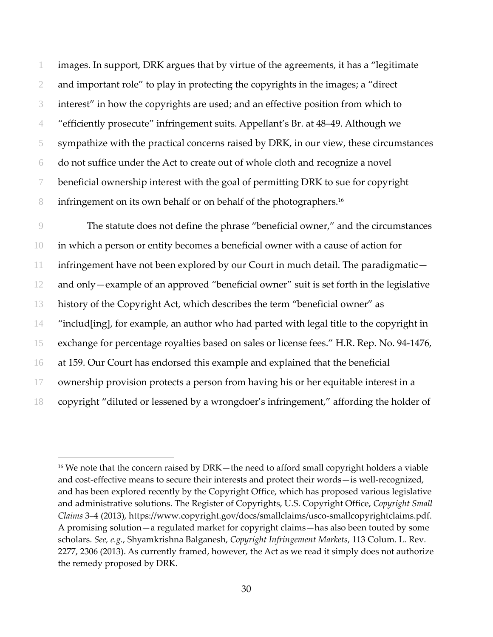images. In support, DRK argues that by virtue of the agreements, it has a "legitimate and important role" to play in protecting the copyrights in the images; a "direct interest" in how the copyrights are used; and an effective position from which to "efficiently prosecute" infringement suits. Appellant's Br. at 48–49. Although we sympathize with the practical concerns raised by DRK, in our view, these circumstances do not suffice under the Act to create out of whole cloth and recognize a novel beneficial ownership interest with the goal of permitting DRK to sue for copyright 8 infringement on its own behalf or on behalf of the photographers.<sup>16</sup>

The statute does not define the phrase "beneficial owner," and the circumstances in which a person or entity becomes a beneficial owner with a cause of action for infringement have not been explored by our Court in much detail. The paradigmatic— and only—example of an approved "beneficial owner" suit is set forth in the legislative history of the Copyright Act, which describes the term "beneficial owner" as "includ[ing], for example, an author who had parted with legal title to the copyright in exchange for percentage royalties based on sales or license fees." H.R. Rep. No. 94‐1476, at 159. Our Court has endorsed this example and explained that the beneficial ownership provision protects a person from having his or her equitable interest in a copyright "diluted or lessened by a wrongdoer's infringement," affording the holder of

 $\overline{a}$ 

<sup>&</sup>lt;sup>16</sup> We note that the concern raised by  $DRK$ —the need to afford small copyright holders a viable and cost-effective means to secure their interests and protect their words—is well-recognized, and has been explored recently by the Copyright Office, which has proposed various legislative and administrative solutions. The Register of Copyrights, U.S. Copyright Office, *Copyright Small Claims* 3–4 (2013), https://www.copyright.gov/docs/smallclaims/usco‐smallcopyrightclaims.pdf. A promising solution—a regulated market for copyright claims—has also been touted by some scholars. *See, e.g.*, Shyamkrishna Balganesh, *Copyright Infringement Markets*, 113 Colum. L. Rev. 2277, 2306 (2013). As currently framed, however, the Act as we read it simply does not authorize the remedy proposed by DRK.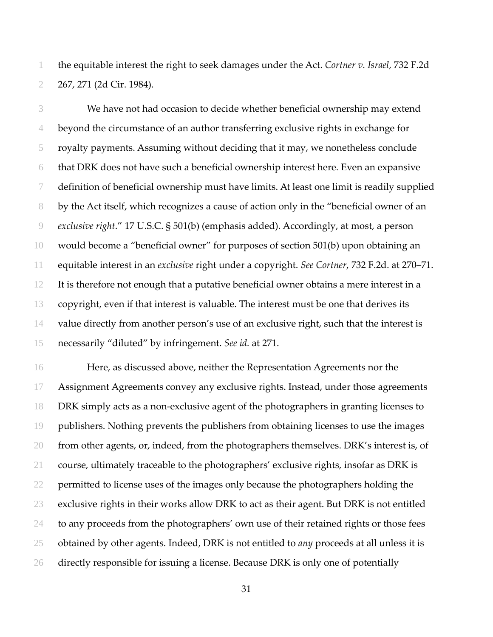the equitable interest the right to seek damages under the Act. *Cortner v. Israel*, 732 F.2d 267, 271 (2d Cir. 1984).

We have not had occasion to decide whether beneficial ownership may extend beyond the circumstance of an author transferring exclusive rights in exchange for royalty payments. Assuming without deciding that it may, we nonetheless conclude that DRK does not have such a beneficial ownership interest here. Even an expansive definition of beneficial ownership must have limits. At least one limit is readily supplied by the Act itself, which recognizes a cause of action only in the "beneficial owner of an *exclusive right*." 17 U.S.C. § 501(b) (emphasis added). Accordingly, at most, a person would become a "beneficial owner" for purposes of section 501(b) upon obtaining an equitable interest in an *exclusive* right under a copyright. *See Cortner*, 732 F.2d. at 270–71. It is therefore not enough that a putative beneficial owner obtains a mere interest in a copyright, even if that interest is valuable. The interest must be one that derives its value directly from another person's use of an exclusive right, such that the interest is necessarily "diluted" by infringement. *See id.* at 271.

Here, as discussed above, neither the Representation Agreements nor the Assignment Agreements convey any exclusive rights. Instead, under those agreements DRK simply acts as a non‐exclusive agent of the photographers in granting licenses to publishers. Nothing prevents the publishers from obtaining licenses to use the images 20 from other agents, or, indeed, from the photographers themselves. DRK's interest is, of course, ultimately traceable to the photographers' exclusive rights, insofar as DRK is 22 permitted to license uses of the images only because the photographers holding the exclusive rights in their works allow DRK to act as their agent. But DRK is not entitled 24 to any proceeds from the photographers' own use of their retained rights or those fees obtained by other agents. Indeed, DRK is not entitled to *any* proceeds at all unless it is directly responsible for issuing a license. Because DRK is only one of potentially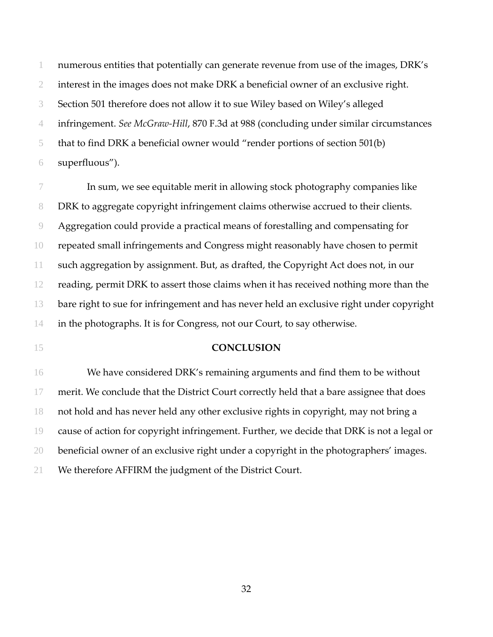numerous entities that potentially can generate revenue from use of the images, DRK's interest in the images does not make DRK a beneficial owner of an exclusive right. Section 501 therefore does not allow it to sue Wiley based on Wiley's alleged infringement. *See McGraw‐Hill*, 870 F.3d at 988 (concluding under similar circumstances that to find DRK a beneficial owner would "render portions of section 501(b) superfluous").

In sum, we see equitable merit in allowing stock photography companies like DRK to aggregate copyright infringement claims otherwise accrued to their clients. Aggregation could provide a practical means of forestalling and compensating for repeated small infringements and Congress might reasonably have chosen to permit such aggregation by assignment. But, as drafted, the Copyright Act does not, in our reading, permit DRK to assert those claims when it has received nothing more than the bare right to sue for infringement and has never held an exclusive right under copyright in the photographs. It is for Congress, not our Court, to say otherwise.

#### **CONCLUSION**

We have considered DRK's remaining arguments and find them to be without 17 merit. We conclude that the District Court correctly held that a bare assignee that does not hold and has never held any other exclusive rights in copyright, may not bring a cause of action for copyright infringement. Further, we decide that DRK is not a legal or beneficial owner of an exclusive right under a copyright in the photographers' images. We therefore AFFIRM the judgment of the District Court.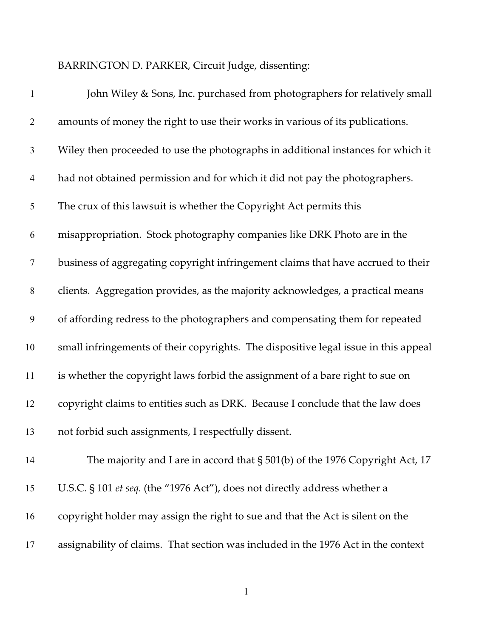BARRINGTON D. PARKER, Circuit Judge, dissenting:

| $\mathbf{1}$   | John Wiley & Sons, Inc. purchased from photographers for relatively small           |
|----------------|-------------------------------------------------------------------------------------|
| $\overline{2}$ | amounts of money the right to use their works in various of its publications.       |
| 3              | Wiley then proceeded to use the photographs in additional instances for which it    |
| $\overline{4}$ | had not obtained permission and for which it did not pay the photographers.         |
| 5              | The crux of this lawsuit is whether the Copyright Act permits this                  |
| 6              | misappropriation. Stock photography companies like DRK Photo are in the             |
| $\tau$         | business of aggregating copyright infringement claims that have accrued to their    |
| $8\,$          | clients. Aggregation provides, as the majority acknowledges, a practical means      |
| 9              | of affording redress to the photographers and compensating them for repeated        |
| 10             | small infringements of their copyrights. The dispositive legal issue in this appeal |
| 11             | is whether the copyright laws forbid the assignment of a bare right to sue on       |
| 12             | copyright claims to entities such as DRK. Because I conclude that the law does      |
| 13             | not forbid such assignments, I respectfully dissent.                                |
| 14             | The majority and I are in accord that $\S 501(b)$ of the 1976 Copyright Act, 17     |
| 15             | U.S.C. § 101 et seq. (the "1976 Act"), does not directly address whether a          |
| 16             | copyright holder may assign the right to sue and that the Act is silent on the      |
| 17             | assignability of claims. That section was included in the 1976 Act in the context   |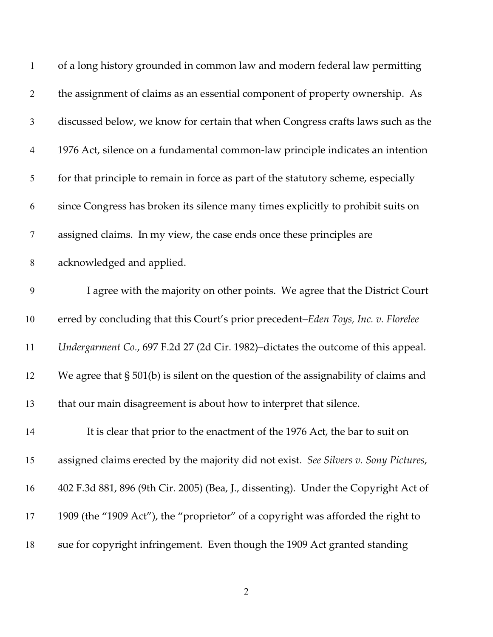| $\mathbf{1}$   | of a long history grounded in common law and modern federal law permitting             |
|----------------|----------------------------------------------------------------------------------------|
| $\mathbf{2}$   | the assignment of claims as an essential component of property ownership. As           |
| $\mathfrak{Z}$ | discussed below, we know for certain that when Congress crafts laws such as the        |
| $\overline{4}$ | 1976 Act, silence on a fundamental common-law principle indicates an intention         |
| $\mathfrak{S}$ | for that principle to remain in force as part of the statutory scheme, especially      |
| 6              | since Congress has broken its silence many times explicitly to prohibit suits on       |
| $\tau$         | assigned claims. In my view, the case ends once these principles are                   |
| $8\,$          | acknowledged and applied.                                                              |
| 9              | I agree with the majority on other points. We agree that the District Court            |
| 10             | erred by concluding that this Court's prior precedent-Eden Toys, Inc. v. Florelee      |
| 11             | Undergarment Co., 697 F.2d 27 (2d Cir. 1982)-dictates the outcome of this appeal.      |
| 12             | We agree that $\S$ 501(b) is silent on the question of the assignability of claims and |
| 13             | that our main disagreement is about how to interpret that silence.                     |
| 14             | It is clear that prior to the enactment of the 1976 Act, the bar to suit on            |
| 15             | assigned claims erected by the majority did not exist. See Silvers v. Sony Pictures,   |
| 16             | 402 F.3d 881, 896 (9th Cir. 2005) (Bea, J., dissenting). Under the Copyright Act of    |
| 17             | 1909 (the "1909 Act"), the "proprietor" of a copyright was afforded the right to       |
| 18             | sue for copyright infringement. Even though the 1909 Act granted standing              |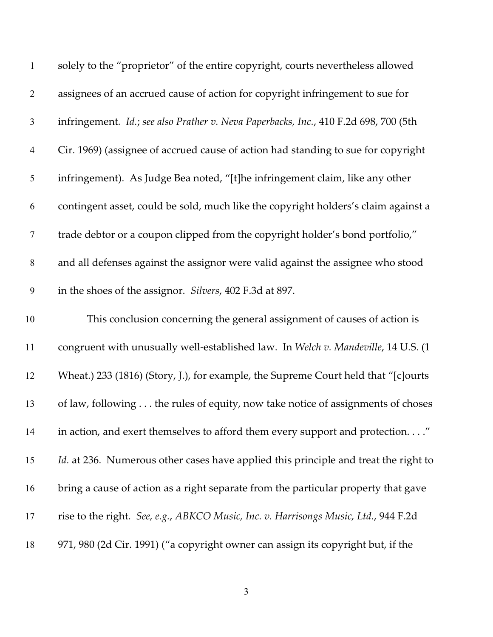| $\mathbf{1}$     | solely to the "proprietor" of the entire copyright, courts nevertheless allowed      |
|------------------|--------------------------------------------------------------------------------------|
| $\overline{2}$   | assignees of an accrued cause of action for copyright infringement to sue for        |
| $\mathfrak{Z}$   | infringement. Id.; see also Prather v. Neva Paperbacks, Inc., 410 F.2d 698, 700 (5th |
| $\overline{4}$   | Cir. 1969) (assignee of accrued cause of action had standing to sue for copyright    |
| $\mathfrak{S}$   | infringement). As Judge Bea noted, "[t]he infringement claim, like any other         |
| 6                | contingent asset, could be sold, much like the copyright holders's claim against a   |
| $\boldsymbol{7}$ | trade debtor or a coupon clipped from the copyright holder's bond portfolio,"        |
| $8\,$            | and all defenses against the assignor were valid against the assignee who stood      |
| 9                | in the shoes of the assignor. Silvers, 402 F.3d at 897.                              |
| 10               | This conclusion concerning the general assignment of causes of action is             |
| 11               | congruent with unusually well-established law. In Welch v. Mandeville, 14 U.S. (1    |
| 12               | Wheat.) 233 (1816) (Story, J.), for example, the Supreme Court held that "[c]ourts   |
| 13               | of law, following the rules of equity, now take notice of assignments of choses      |
| 14               | in action, and exert themselves to afford them every support and protection."        |
| 15               | Id. at 236. Numerous other cases have applied this principle and treat the right to  |
| 16               | bring a cause of action as a right separate from the particular property that gave   |
| 17               | rise to the right. See, e.g., ABKCO Music, Inc. v. Harrisongs Music, Ltd., 944 F.2d  |
| 18               | 971, 980 (2d Cir. 1991) ("a copyright owner can assign its copyright but, if the     |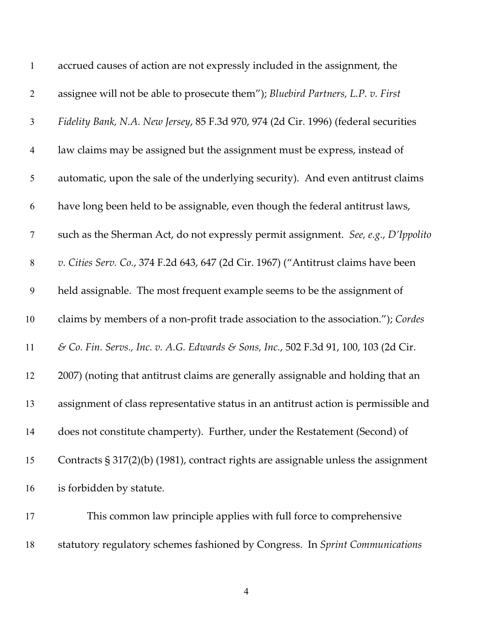| $\mathbf{1}$     | accrued causes of action are not expressly included in the assignment, the            |
|------------------|---------------------------------------------------------------------------------------|
| $\overline{2}$   | assignee will not be able to prosecute them"); Bluebird Partners, L.P. v. First       |
| 3                | Fidelity Bank, N.A. New Jersey, 85 F.3d 970, 974 (2d Cir. 1996) (federal securities   |
| $\overline{4}$   | law claims may be assigned but the assignment must be express, instead of             |
| 5                | automatic, upon the sale of the underlying security). And even antitrust claims       |
| 6                | have long been held to be assignable, even though the federal antitrust laws,         |
| $\boldsymbol{7}$ | such as the Sherman Act, do not expressly permit assignment. See, e.g., D'Ippolito    |
| $8\,$            | v. Cities Serv. Co., 374 F.2d 643, 647 (2d Cir. 1967) ("Antitrust claims have been    |
| $\boldsymbol{9}$ | held assignable. The most frequent example seems to be the assignment of              |
| 10               | claims by members of a non-profit trade association to the association."); Cordes     |
| 11               | & Co. Fin. Servs., Inc. v. A.G. Edwards & Sons, Inc., 502 F.3d 91, 100, 103 (2d Cir.  |
| 12               | 2007) (noting that antitrust claims are generally assignable and holding that an      |
| 13               | assignment of class representative status in an antitrust action is permissible and   |
| 14               | does not constitute champerty). Further, under the Restatement (Second) of            |
| 15               | Contracts $\S 317(2)(b)$ (1981), contract rights are assignable unless the assignment |
| 16               | is forbidden by statute.                                                              |
| 17               | This common law principle applies with full force to comprehensive                    |

statutory regulatory schemes fashioned by Congress. In *Sprint Communications*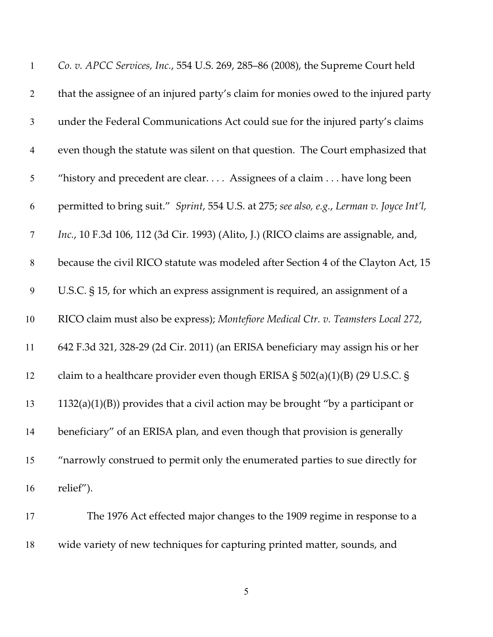| $\mathbf{1}$   | Co. v. APCC Services, Inc., 554 U.S. 269, 285-86 (2008), the Supreme Court held           |
|----------------|-------------------------------------------------------------------------------------------|
| $\overline{2}$ | that the assignee of an injured party's claim for monies owed to the injured party        |
| $\mathfrak{Z}$ | under the Federal Communications Act could sue for the injured party's claims             |
| $\overline{4}$ | even though the statute was silent on that question. The Court emphasized that            |
| 5              | "history and precedent are clear Assignees of a claim  have long been                     |
| 6              | permitted to bring suit." Sprint, 554 U.S. at 275; see also, e.g., Lerman v. Joyce Int'l, |
| $\overline{7}$ | Inc., 10 F.3d 106, 112 (3d Cir. 1993) (Alito, J.) (RICO claims are assignable, and,       |
| $8\,$          | because the civil RICO statute was modeled after Section 4 of the Clayton Act, 15         |
| 9              | U.S.C. § 15, for which an express assignment is required, an assignment of a              |
| 10             | RICO claim must also be express); Montefiore Medical Ctr. v. Teamsters Local 272,         |
| 11             | 642 F.3d 321, 328-29 (2d Cir. 2011) (an ERISA beneficiary may assign his or her           |
| 12             | claim to a healthcare provider even though ERISA $\S$ 502(a)(1)(B) (29 U.S.C. $\S$        |
| 13             | $1132(a)(1)(B)$ provides that a civil action may be brought "by a participant or          |
| 14             | beneficiary" of an ERISA plan, and even though that provision is generally                |
| 15             | "narrowly construed to permit only the enumerated parties to sue directly for             |
| 16             | relief").                                                                                 |
| 17             | The 1976 Act effected major changes to the 1909 regime in response to a                   |

wide variety of new techniques for capturing printed matter, sounds, and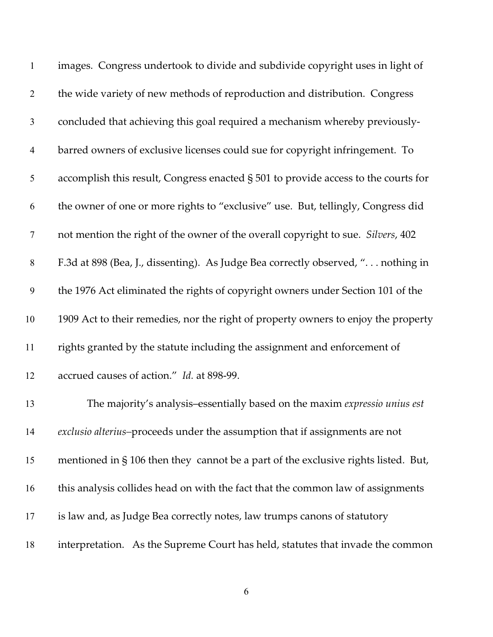| $\mathbf{1}$     | images. Congress undertook to divide and subdivide copyright uses in light of      |
|------------------|------------------------------------------------------------------------------------|
| $\overline{2}$   | the wide variety of new methods of reproduction and distribution. Congress         |
| $\mathfrak{Z}$   | concluded that achieving this goal required a mechanism whereby previously-        |
| $\overline{4}$   | barred owners of exclusive licenses could sue for copyright infringement. To       |
| 5                | accomplish this result, Congress enacted § 501 to provide access to the courts for |
| 6                | the owner of one or more rights to "exclusive" use. But, tellingly, Congress did   |
| $\boldsymbol{7}$ | not mention the right of the owner of the overall copyright to sue. Silvers, 402   |
| $8\,$            | F.3d at 898 (Bea, J., dissenting). As Judge Bea correctly observed, " nothing in   |
| 9                | the 1976 Act eliminated the rights of copyright owners under Section 101 of the    |
| 10               | 1909 Act to their remedies, nor the right of property owners to enjoy the property |
| 11               | rights granted by the statute including the assignment and enforcement of          |
| 12               | accrued causes of action." Id. at 898-99.                                          |
| 13               | The majority's analysis-essentially based on the maxim expressio unius est         |
| 14               | exclusio alterius-proceeds under the assumption that if assignments are not        |
| 15               | mentioned in § 106 then they cannot be a part of the exclusive rights listed. But, |
| 16               | this analysis collides head on with the fact that the common law of assignments    |
| 17               | is law and, as Judge Bea correctly notes, law trumps canons of statutory           |
| 18               | interpretation. As the Supreme Court has held, statutes that invade the common     |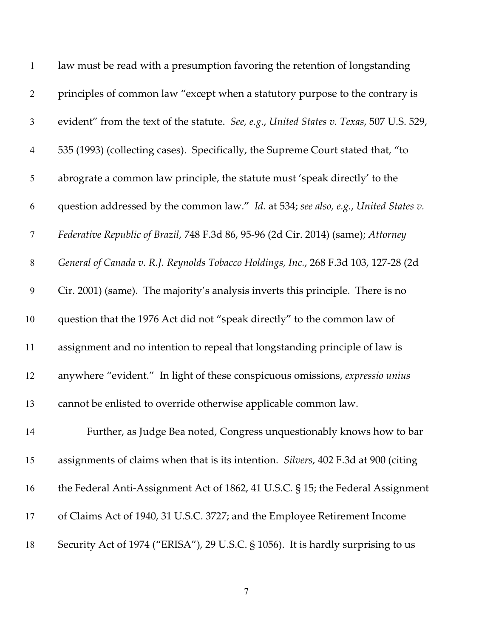| $\mathbf{1}$   | law must be read with a presumption favoring the retention of longstanding              |
|----------------|-----------------------------------------------------------------------------------------|
| $\overline{2}$ | principles of common law "except when a statutory purpose to the contrary is            |
| 3              | evident" from the text of the statute. See, e.g., United States v. Texas, 507 U.S. 529, |
| $\overline{4}$ | 535 (1993) (collecting cases). Specifically, the Supreme Court stated that, "to         |
| 5              | abrograte a common law principle, the statute must 'speak directly' to the              |
| 6              | question addressed by the common law." Id. at 534; see also, e.g., United States v.     |
| $\tau$         | Federative Republic of Brazil, 748 F.3d 86, 95-96 (2d Cir. 2014) (same); Attorney       |
| $8\,$          | General of Canada v. R.J. Reynolds Tobacco Holdings, Inc., 268 F.3d 103, 127-28 (2d     |
| 9              | Cir. 2001) (same). The majority's analysis inverts this principle. There is no          |
| 10             | question that the 1976 Act did not "speak directly" to the common law of                |
| 11             | assignment and no intention to repeal that longstanding principle of law is             |
| 12             | anywhere "evident." In light of these conspicuous omissions, expressio unius            |
| 13             | cannot be enlisted to override otherwise applicable common law.                         |
| 14             | Further, as Judge Bea noted, Congress unquestionably knows how to bar                   |
| 15             | assignments of claims when that is its intention. Silvers, 402 F.3d at 900 (citing      |
| 16             | the Federal Anti-Assignment Act of 1862, 41 U.S.C. § 15; the Federal Assignment         |
| 17             | of Claims Act of 1940, 31 U.S.C. 3727; and the Employee Retirement Income               |
| 18             | Security Act of 1974 ("ERISA"), 29 U.S.C. § 1056). It is hardly surprising to us        |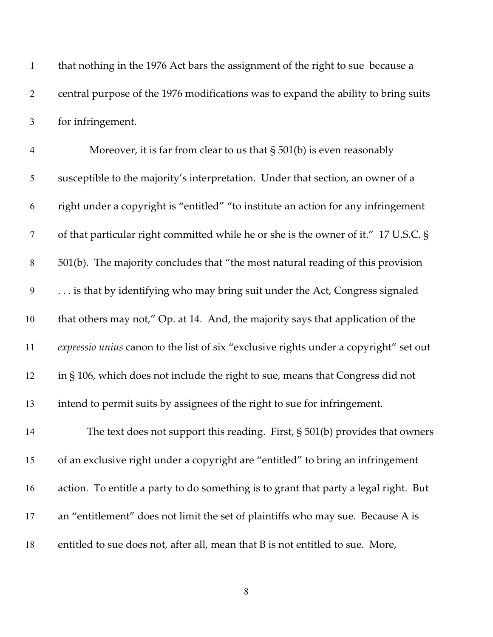| $\mathbf{1}$   | that nothing in the 1976 Act bars the assignment of the right to sue because a        |
|----------------|---------------------------------------------------------------------------------------|
| $\overline{2}$ | central purpose of the 1976 modifications was to expand the ability to bring suits    |
| $\mathfrak{Z}$ | for infringement.                                                                     |
| $\overline{4}$ | Moreover, it is far from clear to us that $\S 501(b)$ is even reasonably              |
| 5              | susceptible to the majority's interpretation. Under that section, an owner of a       |
| 6              | right under a copyright is "entitled" "to institute an action for any infringement    |
| $\tau$         | of that particular right committed while he or she is the owner of it." 17 U.S.C. §   |
| $8\,$          | 501(b). The majority concludes that "the most natural reading of this provision       |
| 9              | is that by identifying who may bring suit under the Act, Congress signaled            |
| 10             | that others may not," Op. at 14. And, the majority says that application of the       |
| 11             | expressio unius canon to the list of six "exclusive rights under a copyright" set out |
| 12             | in § 106, which does not include the right to sue, means that Congress did not        |
| 13             | intend to permit suits by assignees of the right to sue for infringement.             |
| 14             | The text does not support this reading. First, $\S 501(b)$ provides that owners       |
| 15             | of an exclusive right under a copyright are "entitled" to bring an infringement       |
| 16             | action. To entitle a party to do something is to grant that party a legal right. But  |
| 17             | an "entitlement" does not limit the set of plaintiffs who may sue. Because A is       |
| 18             | entitled to sue does not, after all, mean that B is not entitled to sue. More,        |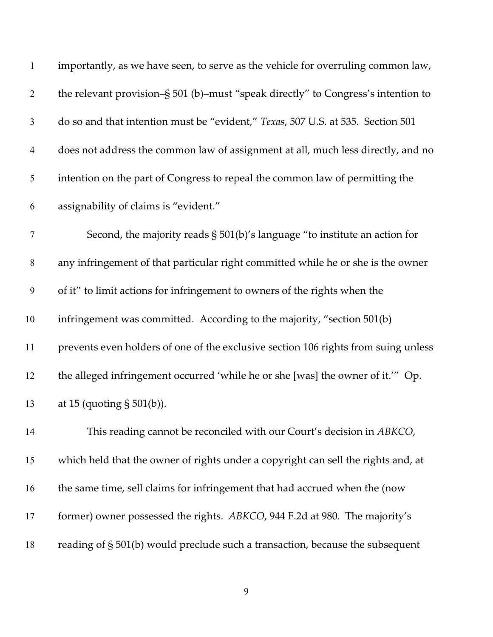| $\mathbf{1}$     | importantly, as we have seen, to serve as the vehicle for overruling common law,   |
|------------------|------------------------------------------------------------------------------------|
| $\overline{2}$   | the relevant provision-§ 501 (b)-must "speak directly" to Congress's intention to  |
| $\mathfrak{Z}$   | do so and that intention must be "evident," Texas, 507 U.S. at 535. Section 501    |
| $\overline{4}$   | does not address the common law of assignment at all, much less directly, and no   |
| 5                | intention on the part of Congress to repeal the common law of permitting the       |
| 6                | assignability of claims is "evident."                                              |
| $\tau$           | Second, the majority reads $\S$ 501(b)'s language "to institute an action for      |
| $8\phantom{1}$   | any infringement of that particular right committed while he or she is the owner   |
| $\boldsymbol{9}$ | of it" to limit actions for infringement to owners of the rights when the          |
| 10               | infringement was committed. According to the majority, "section 501(b)             |
| 11               | prevents even holders of one of the exclusive section 106 rights from suing unless |
| 12               | the alleged infringement occurred 'while he or she [was] the owner of it." Op.     |
| 13               | at 15 (quoting $\S 501(b)$ ).                                                      |
| 14               | This reading cannot be reconciled with our Court's decision in ABKCO,              |
| 15               | which held that the owner of rights under a copyright can sell the rights and, at  |
| 16               | the same time, sell claims for infringement that had accrued when the (now         |
| 17               | former) owner possessed the rights. ABKCO, 944 F.2d at 980. The majority's         |
| 18               | reading of § 501(b) would preclude such a transaction, because the subsequent      |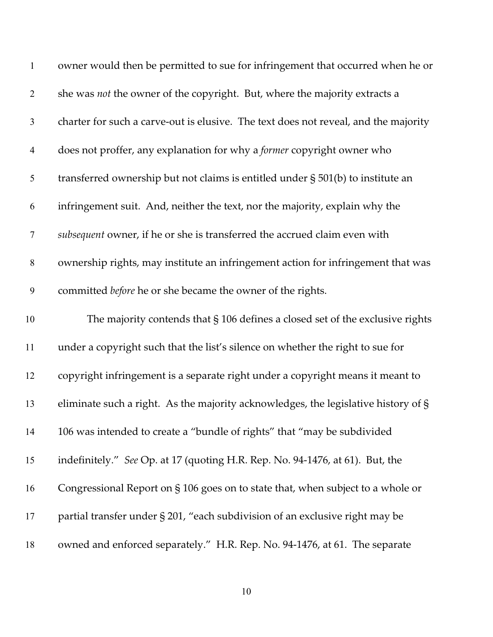| $\mathbf{1}$   | owner would then be permitted to sue for infringement that occurred when he or      |
|----------------|-------------------------------------------------------------------------------------|
| $\overline{2}$ | she was not the owner of the copyright. But, where the majority extracts a          |
| $\mathfrak{Z}$ | charter for such a carve-out is elusive. The text does not reveal, and the majority |
| $\overline{4}$ | does not proffer, any explanation for why a former copyright owner who              |
| 5              | transferred ownership but not claims is entitled under § 501(b) to institute an     |
| 6              | infringement suit. And, neither the text, nor the majority, explain why the         |
| $\tau$         | subsequent owner, if he or she is transferred the accrued claim even with           |
| $8\,$          | ownership rights, may institute an infringement action for infringement that was    |
| 9              | committed before he or she became the owner of the rights.                          |
| 10             | The majority contends that $\S$ 106 defines a closed set of the exclusive rights    |
| 11             | under a copyright such that the list's silence on whether the right to sue for      |
| 12             | copyright infringement is a separate right under a copyright means it meant to      |
| 13             | eliminate such a right. As the majority acknowledges, the legislative history of §  |
| 14             | 106 was intended to create a "bundle of rights" that "may be subdivided             |
| 15             | indefinitely." See Op. at 17 (quoting H.R. Rep. No. 94-1476, at 61). But, the       |
| 16             | Congressional Report on § 106 goes on to state that, when subject to a whole or     |
| 17             | partial transfer under § 201, "each subdivision of an exclusive right may be        |
| 18             | owned and enforced separately." H.R. Rep. No. 94-1476, at 61. The separate          |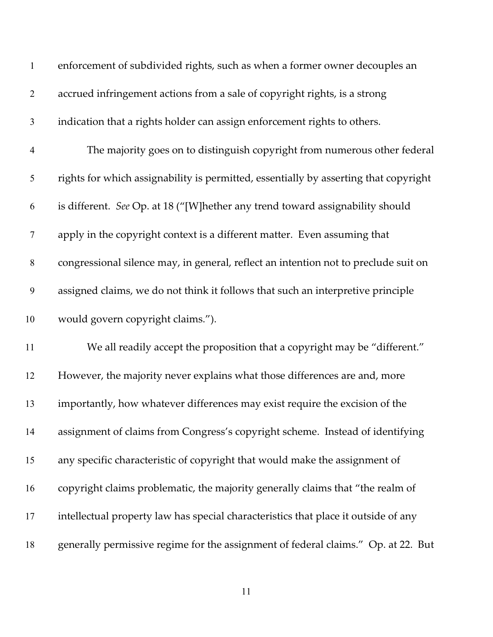| $\mathbf{1}$   | enforcement of subdivided rights, such as when a former owner decouples an           |
|----------------|--------------------------------------------------------------------------------------|
| $\overline{2}$ | accrued infringement actions from a sale of copyright rights, is a strong            |
| $\mathfrak{Z}$ | indication that a rights holder can assign enforcement rights to others.             |
| $\overline{4}$ | The majority goes on to distinguish copyright from numerous other federal            |
| 5              | rights for which assignability is permitted, essentially by asserting that copyright |
| 6              | is different. See Op. at 18 ("[W]hether any trend toward assignability should        |
| 7              | apply in the copyright context is a different matter. Even assuming that             |
| $8\,$          | congressional silence may, in general, reflect an intention not to preclude suit on  |
| 9              | assigned claims, we do not think it follows that such an interpretive principle      |
| 10             | would govern copyright claims.").                                                    |
| 11             | We all readily accept the proposition that a copyright may be "different."           |
| 12             | However, the majority never explains what those differences are and, more            |
| 13             | importantly, how whatever differences may exist require the excision of the          |
| 14             | assignment of claims from Congress's copyright scheme. Instead of identifying        |
| 15             | any specific characteristic of copyright that would make the assignment of           |
| 16             | copyright claims problematic, the majority generally claims that "the realm of       |
| 17             | intellectual property law has special characteristics that place it outside of any   |
| 18             | generally permissive regime for the assignment of federal claims." Op. at 22. But    |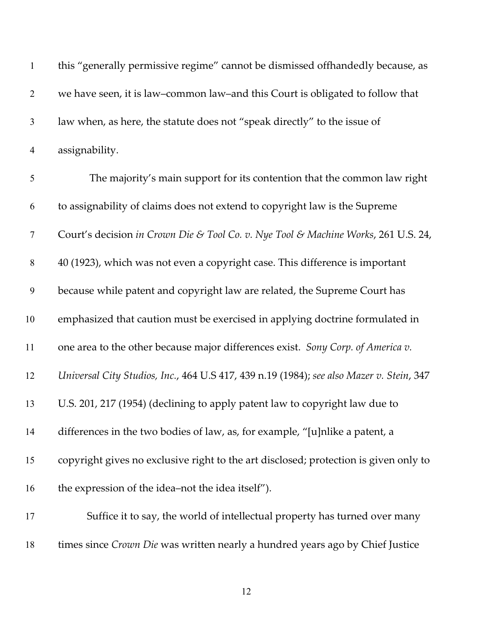| $\mathbf{1}$   | this "generally permissive regime" cannot be dismissed offhandedly because, as           |
|----------------|------------------------------------------------------------------------------------------|
| $\overline{2}$ | we have seen, it is law-common law-and this Court is obligated to follow that            |
| $\mathfrak{Z}$ | law when, as here, the statute does not "speak directly" to the issue of                 |
| $\overline{4}$ | assignability.                                                                           |
| 5              | The majority's main support for its contention that the common law right                 |
| 6              | to assignability of claims does not extend to copyright law is the Supreme               |
| $\tau$         | Court's decision in Crown Die & Tool Co. v. Nye Tool & Machine Works, 261 U.S. 24,       |
| $8\,$          | 40 (1923), which was not even a copyright case. This difference is important             |
| 9              | because while patent and copyright law are related, the Supreme Court has                |
| 10             | emphasized that caution must be exercised in applying doctrine formulated in             |
| 11             | one area to the other because major differences exist. Sony Corp. of America v.          |
| 12             | Universal City Studios, Inc., 464 U.S 417, 439 n.19 (1984); see also Mazer v. Stein, 347 |
| 13             | U.S. 201, 217 (1954) (declining to apply patent law to copyright law due to              |
| 14             | differences in the two bodies of law, as, for example, "[u]nlike a patent, a             |
| 15             | copyright gives no exclusive right to the art disclosed; protection is given only to     |
| 16             | the expression of the idea–not the idea itself").                                        |
| 17             | Suffice it to say, the world of intellectual property has turned over many               |
| 18             | times since Crown Die was written nearly a hundred years ago by Chief Justice            |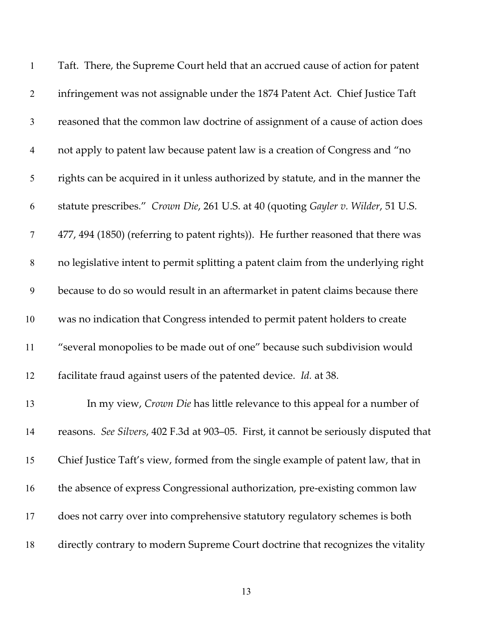| $\mathbf{1}$   | Taft. There, the Supreme Court held that an accrued cause of action for patent        |
|----------------|---------------------------------------------------------------------------------------|
| $\mathbf{2}$   | infringement was not assignable under the 1874 Patent Act. Chief Justice Taft         |
| $\mathfrak{Z}$ | reasoned that the common law doctrine of assignment of a cause of action does         |
| $\overline{4}$ | not apply to patent law because patent law is a creation of Congress and "no          |
| $\mathfrak{S}$ | rights can be acquired in it unless authorized by statute, and in the manner the      |
| 6              | statute prescribes." Crown Die, 261 U.S. at 40 (quoting Gayler v. Wilder, 51 U.S.     |
| $\overline{7}$ | 477, 494 (1850) (referring to patent rights)). He further reasoned that there was     |
| $8\,$          | no legislative intent to permit splitting a patent claim from the underlying right    |
| 9              | because to do so would result in an aftermarket in patent claims because there        |
| 10             | was no indication that Congress intended to permit patent holders to create           |
| 11             | "several monopolies to be made out of one" because such subdivision would             |
| 12             | facilitate fraud against users of the patented device. Id. at 38.                     |
| 13             | In my view, Crown Die has little relevance to this appeal for a number of             |
| 14             | reasons. See Silvers, 402 F.3d at 903-05. First, it cannot be seriously disputed that |
| 15             | Chief Justice Taft's view, formed from the single example of patent law, that in      |
| 16             | the absence of express Congressional authorization, pre-existing common law           |
| 17             | does not carry over into comprehensive statutory regulatory schemes is both           |
| 18             | directly contrary to modern Supreme Court doctrine that recognizes the vitality       |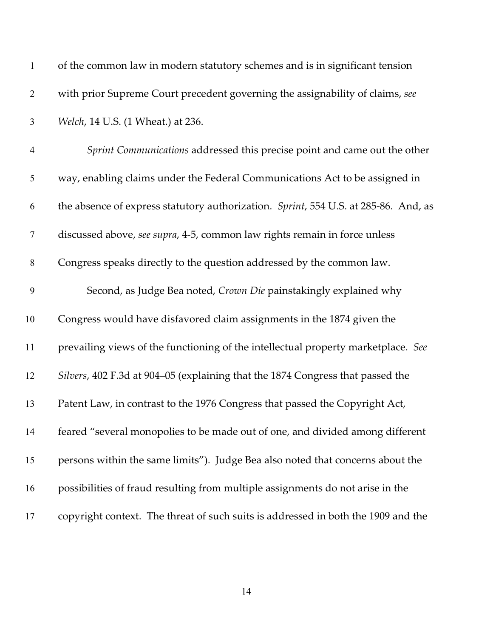| $\mathbf{1}$   | of the common law in modern statutory schemes and is in significant tension         |
|----------------|-------------------------------------------------------------------------------------|
| $\overline{2}$ | with prior Supreme Court precedent governing the assignability of claims, see       |
| $\mathfrak{Z}$ | Welch, 14 U.S. (1 Wheat.) at 236.                                                   |
| $\overline{4}$ | Sprint Communications addressed this precise point and came out the other           |
| 5              | way, enabling claims under the Federal Communications Act to be assigned in         |
| 6              | the absence of express statutory authorization. Sprint, 554 U.S. at 285-86. And, as |
| $\tau$         | discussed above, see supra, 4-5, common law rights remain in force unless           |
| $\,8\,$        | Congress speaks directly to the question addressed by the common law.               |
| 9              | Second, as Judge Bea noted, Crown Die painstakingly explained why                   |
| 10             | Congress would have disfavored claim assignments in the 1874 given the              |
| 11             | prevailing views of the functioning of the intellectual property marketplace. See   |
| 12             | Silvers, 402 F.3d at 904–05 (explaining that the 1874 Congress that passed the      |
| 13             | Patent Law, in contrast to the 1976 Congress that passed the Copyright Act,         |
| 14             | feared "several monopolies to be made out of one, and divided among different       |
| 15             | persons within the same limits"). Judge Bea also noted that concerns about the      |
| 16             | possibilities of fraud resulting from multiple assignments do not arise in the      |
| 17             | copyright context. The threat of such suits is addressed in both the 1909 and the   |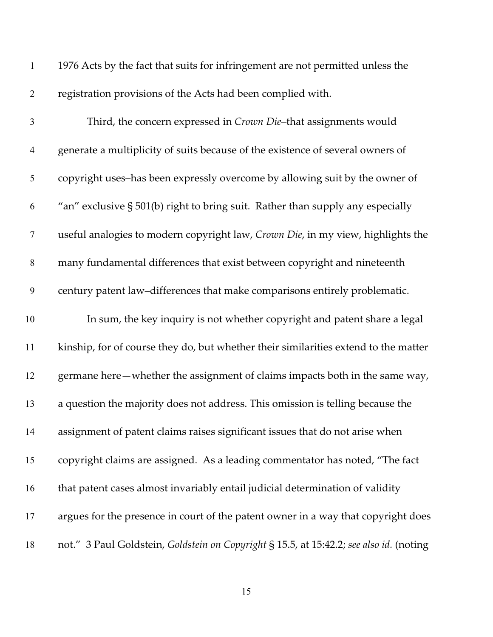| $\mathbf{1}$     | 1976 Acts by the fact that suits for infringement are not permitted unless the          |
|------------------|-----------------------------------------------------------------------------------------|
| $\overline{2}$   | registration provisions of the Acts had been complied with.                             |
| $\mathfrak{Z}$   | Third, the concern expressed in Crown Die-that assignments would                        |
| $\overline{4}$   | generate a multiplicity of suits because of the existence of several owners of          |
| $\mathfrak{S}$   | copyright uses-has been expressly overcome by allowing suit by the owner of             |
| 6                | "an" exclusive § 501(b) right to bring suit. Rather than supply any especially          |
| $\boldsymbol{7}$ | useful analogies to modern copyright law, Crown Die, in my view, highlights the         |
| $8\,$            | many fundamental differences that exist between copyright and nineteenth                |
| 9                | century patent law-differences that make comparisons entirely problematic.              |
| 10               | In sum, the key inquiry is not whether copyright and patent share a legal               |
| 11               | kinship, for of course they do, but whether their similarities extend to the matter     |
| 12               | germane here—whether the assignment of claims impacts both in the same way,             |
| 13               | a question the majority does not address. This omission is telling because the          |
| 14               | assignment of patent claims raises significant issues that do not arise when            |
| 15               | copyright claims are assigned. As a leading commentator has noted, "The fact            |
| 16               | that patent cases almost invariably entail judicial determination of validity           |
| 17               | argues for the presence in court of the patent owner in a way that copyright does       |
| 18               | not." 3 Paul Goldstein, Goldstein on Copyright § 15.5, at 15:42.2; see also id. (noting |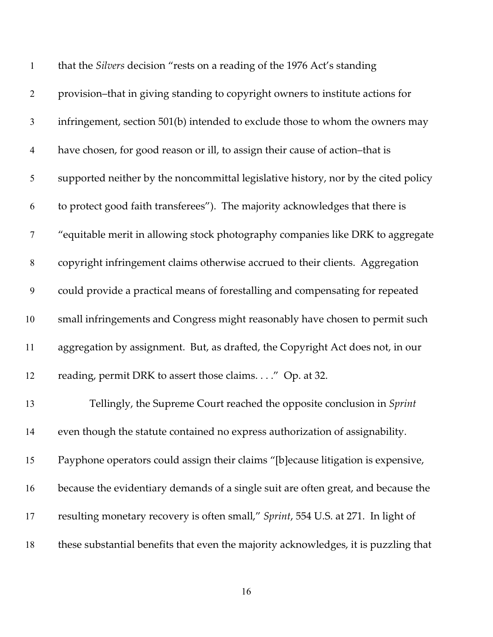| $\mathbf{1}$     | that the Silvers decision "rests on a reading of the 1976 Act's standing            |
|------------------|-------------------------------------------------------------------------------------|
| $\overline{2}$   | provision-that in giving standing to copyright owners to institute actions for      |
| $\mathfrak{Z}$   | infringement, section 501(b) intended to exclude those to whom the owners may       |
| $\overline{4}$   | have chosen, for good reason or ill, to assign their cause of action-that is        |
| $\mathfrak{S}$   | supported neither by the noncommittal legislative history, nor by the cited policy  |
| 6                | to protect good faith transferees"). The majority acknowledges that there is        |
| $\boldsymbol{7}$ | "equitable merit in allowing stock photography companies like DRK to aggregate      |
| $\,8\,$          | copyright infringement claims otherwise accrued to their clients. Aggregation       |
| 9                | could provide a practical means of forestalling and compensating for repeated       |
| 10               | small infringements and Congress might reasonably have chosen to permit such        |
| 11               | aggregation by assignment. But, as drafted, the Copyright Act does not, in our      |
| 12               | reading, permit DRK to assert those claims." Op. at 32.                             |
| 13               | Tellingly, the Supreme Court reached the opposite conclusion in Sprint              |
| 14               | even though the statute contained no express authorization of assignability.        |
| 15               | Payphone operators could assign their claims "[b]ecause litigation is expensive,    |
| 16               | because the evidentiary demands of a single suit are often great, and because the   |
| 17               | resulting monetary recovery is often small," Sprint, 554 U.S. at 271. In light of   |
| 18               | these substantial benefits that even the majority acknowledges, it is puzzling that |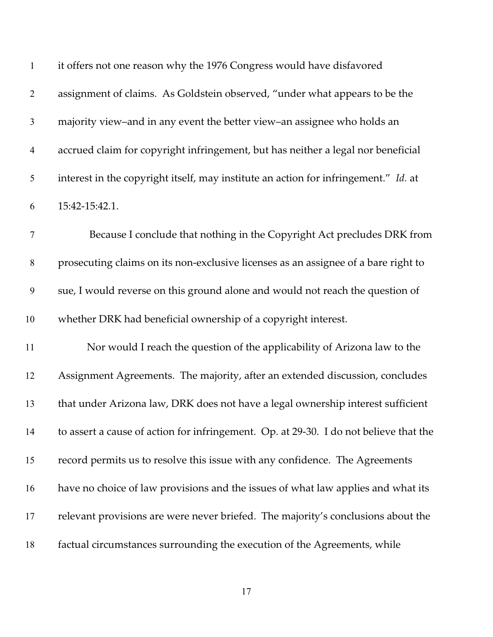| $\mathbf{1}$     | it offers not one reason why the 1976 Congress would have disfavored                  |
|------------------|---------------------------------------------------------------------------------------|
| $\overline{2}$   | assignment of claims. As Goldstein observed, "under what appears to be the            |
| $\mathfrak{Z}$   | majority view-and in any event the better view-an assignee who holds an               |
| $\overline{4}$   | accrued claim for copyright infringement, but has neither a legal nor beneficial      |
| 5                | interest in the copyright itself, may institute an action for infringement." Id. at   |
| 6                | 15:42-15:42.1.                                                                        |
| $\tau$           | Because I conclude that nothing in the Copyright Act precludes DRK from               |
| $\,$ $\,$        | prosecuting claims on its non-exclusive licenses as an assignee of a bare right to    |
| $\boldsymbol{9}$ | sue, I would reverse on this ground alone and would not reach the question of         |
| 10               | whether DRK had beneficial ownership of a copyright interest.                         |
| 11               | Nor would I reach the question of the applicability of Arizona law to the             |
| 12               | Assignment Agreements. The majority, after an extended discussion, concludes          |
| 13               | that under Arizona law, DRK does not have a legal ownership interest sufficient       |
| 14               | to assert a cause of action for infringement. Op. at 29-30. I do not believe that the |
| 15               | record permits us to resolve this issue with any confidence. The Agreements           |
| 16               | have no choice of law provisions and the issues of what law applies and what its      |
| 17               | relevant provisions are were never briefed. The majority's conclusions about the      |
| 18               | factual circumstances surrounding the execution of the Agreements, while              |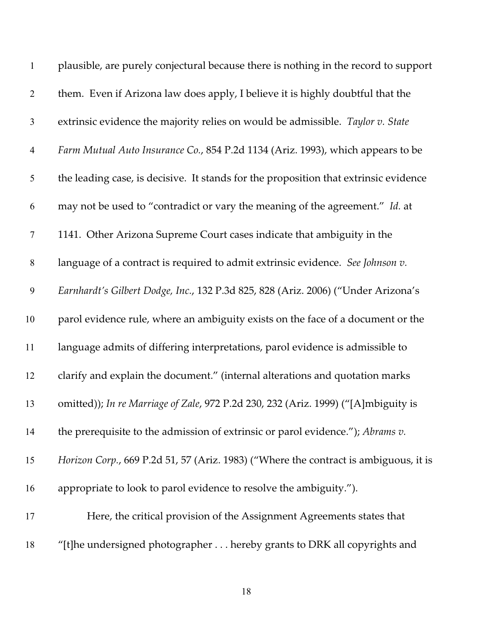| $\mathbf{1}$     | plausible, are purely conjectural because there is nothing in the record to support  |
|------------------|--------------------------------------------------------------------------------------|
| $\overline{2}$   | them. Even if Arizona law does apply, I believe it is highly doubtful that the       |
| $\mathfrak{Z}$   | extrinsic evidence the majority relies on would be admissible. Taylor v. State       |
| $\overline{4}$   | Farm Mutual Auto Insurance Co., 854 P.2d 1134 (Ariz. 1993), which appears to be      |
| 5                | the leading case, is decisive. It stands for the proposition that extrinsic evidence |
| 6                | may not be used to "contradict or vary the meaning of the agreement." Id. at         |
| $\boldsymbol{7}$ | 1141. Other Arizona Supreme Court cases indicate that ambiguity in the               |
| $8\,$            | language of a contract is required to admit extrinsic evidence. See Johnson v.       |
| $\boldsymbol{9}$ | Earnhardt's Gilbert Dodge, Inc., 132 P.3d 825, 828 (Ariz. 2006) ("Under Arizona's    |
| 10               | parol evidence rule, where an ambiguity exists on the face of a document or the      |
| 11               | language admits of differing interpretations, parol evidence is admissible to        |
| 12               | clarify and explain the document." (internal alterations and quotation marks         |
| 13               | omitted)); In re Marriage of Zale, 972 P.2d 230, 232 (Ariz. 1999) ("[A]mbiguity is   |
| 14               | the prerequisite to the admission of extrinsic or parol evidence."); Abrams v.       |
| 15               | Horizon Corp., 669 P.2d 51, 57 (Ariz. 1983) ("Where the contract is ambiguous, it is |
| 16               | appropriate to look to parol evidence to resolve the ambiguity.").                   |
| 17               | Here, the critical provision of the Assignment Agreements states that                |
| 18               | "[t]he undersigned photographer hereby grants to DRK all copyrights and              |